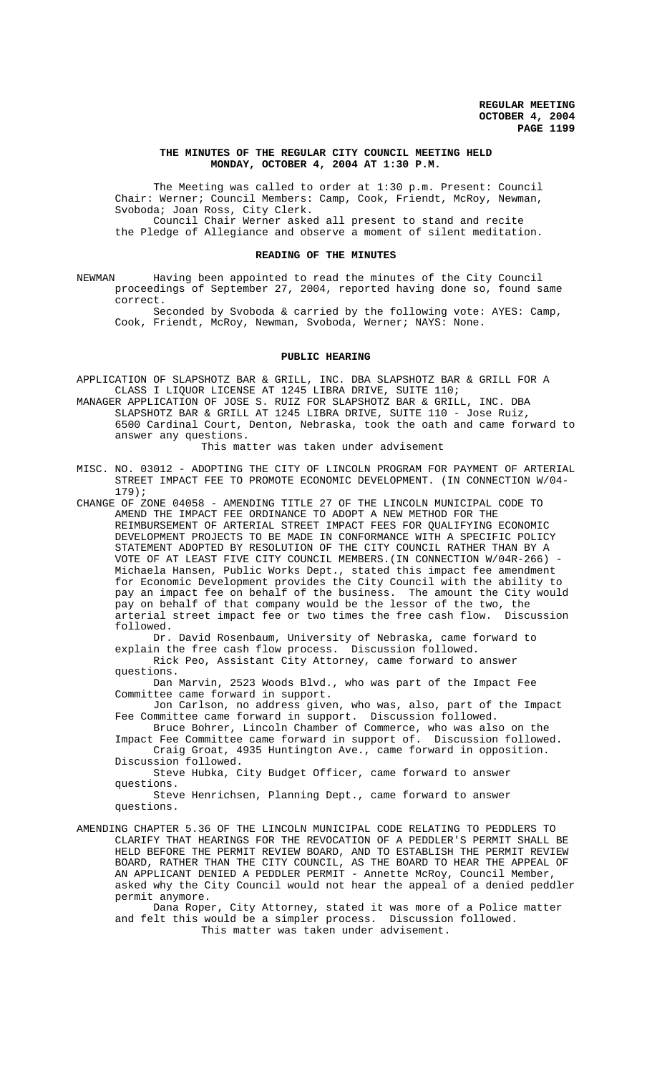#### **THE MINUTES OF THE REGULAR CITY COUNCIL MEETING HELD MONDAY, OCTOBER 4, 2004 AT 1:30 P.M.**

The Meeting was called to order at 1:30 p.m. Present: Council Chair: Werner; Council Members: Camp, Cook, Friendt, McRoy, Newman, Svoboda; Joan Ross, City Clerk. Council Chair Werner asked all present to stand and recite

the Pledge of Allegiance and observe a moment of silent meditation.

#### **READING OF THE MINUTES**

NEWMAN Having been appointed to read the minutes of the City Council proceedings of September 27, 2004, reported having done so, found same correct.

Seconded by Svoboda & carried by the following vote: AYES: Camp, Cook, Friendt, McRoy, Newman, Svoboda, Werner; NAYS: None.

#### **PUBLIC HEARING**

APPLICATION OF SLAPSHOTZ BAR & GRILL, INC. DBA SLAPSHOTZ BAR & GRILL FOR A CLASS I LIQUOR LICENSE AT 1245 LIBRA DRIVE, SUITE 110;

MANAGER APPLICATION OF JOSE S. RUIZ FOR SLAPSHOTZ BAR & GRILL, INC. DBA SLAPSHOTZ BAR & GRILL AT 1245 LIBRA DRIVE, SUITE 110 - Jose Ruiz, 6500 Cardinal Court, Denton, Nebraska, took the oath and came forward to answer any questions.

This matter was taken under advisement

MISC. NO. 03012 - ADOPTING THE CITY OF LINCOLN PROGRAM FOR PAYMENT OF ARTERIAL STREET IMPACT FEE TO PROMOTE ECONOMIC DEVELOPMENT. (IN CONNECTION W/04- 179);

CHANGE OF ZONE 04058 - AMENDING TITLE 27 OF THE LINCOLN MUNICIPAL CODE TO AMEND THE IMPACT FEE ORDINANCE TO ADOPT A NEW METHOD FOR THE REIMBURSEMENT OF ARTERIAL STREET IMPACT FEES FOR QUALIFYING ECONOMIC DEVELOPMENT PROJECTS TO BE MADE IN CONFORMANCE WITH A SPECIFIC POLICY STATEMENT ADOPTED BY RESOLUTION OF THE CITY COUNCIL RATHER THAN BY A VOTE OF AT LEAST FIVE CITY COUNCIL MEMBERS.(IN CONNECTION W/04R-266) - Michaela Hansen, Public Works Dept., stated this impact fee amendment for Economic Development provides the City Council with the ability to pay an impact fee on behalf of the business. The amount the City would pay on behalf of that company would be the lessor of the two, the<br>arterial street impact fee or two times the free cash flow. Discussion arterial street impact fee or two times the free cash flow. followed.

Dr. David Rosenbaum, University of Nebraska, came forward to explain the free cash flow process. Discussion followed.

Rick Peo, Assistant City Attorney, came forward to answer questions.

Dan Marvin, 2523 Woods Blvd., who was part of the Impact Fee Committee came forward in support.

Jon Carlson, no address given, who was, also, part of the Impact Fee Committee came forward in support. Discussion followed.

Bruce Bohrer, Lincoln Chamber of Commerce, who was also on the Impact Fee Committee came forward in support of. Discussion followed. Craig Groat, 4935 Huntington Ave., came forward in opposition.

Discussion followed. Steve Hubka, City Budget Officer, came forward to answer questions.

Steve Henrichsen, Planning Dept., came forward to answer questions.

AMENDING CHAPTER 5.36 OF THE LINCOLN MUNICIPAL CODE RELATING TO PEDDLERS TO CLARIFY THAT HEARINGS FOR THE REVOCATION OF A PEDDLER'S PERMIT SHALL BE HELD BEFORE THE PERMIT REVIEW BOARD, AND TO ESTABLISH THE PERMIT REVIEW BOARD, RATHER THAN THE CITY COUNCIL, AS THE BOARD TO HEAR THE APPEAL OF AN APPLICANT DENIED A PEDDLER PERMIT - Annette McRoy, Council Member, asked why the City Council would not hear the appeal of a denied peddler permit anymore.

Dana Roper, City Attorney, stated it was more of a Police matter and felt this would be a simpler process. Discussion followed. This matter was taken under advisement.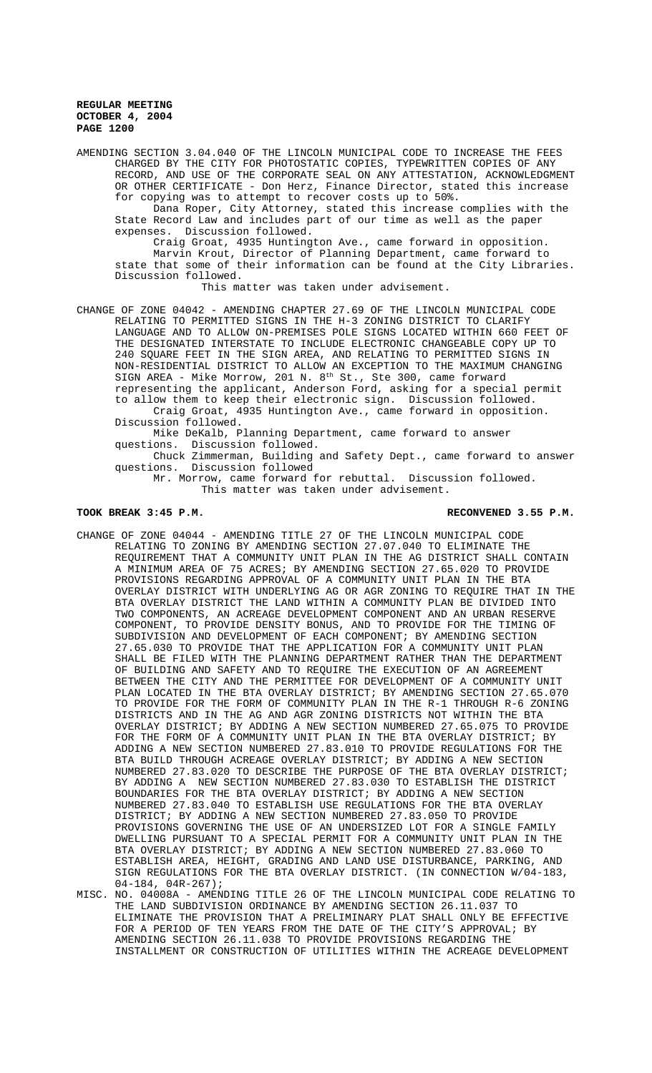AMENDING SECTION 3.04.040 OF THE LINCOLN MUNICIPAL CODE TO INCREASE THE FEES CHARGED BY THE CITY FOR PHOTOSTATIC COPIES, TYPEWRITTEN COPIES OF ANY RECORD, AND USE OF THE CORPORATE SEAL ON ANY ATTESTATION, ACKNOWLEDGMENT OR OTHER CERTIFICATE - Don Herz, Finance Director, stated this increase for copying was to attempt to recover costs up to 50%.

Dana Roper, City Attorney, stated this increase complies with the State Record Law and includes part of our time as well as the paper expenses. Discussion followed.

Craig Groat, 4935 Huntington Ave., came forward in opposition. Marvin Krout, Director of Planning Department, came forward to state that some of their information can be found at the City Libraries. Discussion followed.

This matter was taken under advisement.

CHANGE OF ZONE 04042 - AMENDING CHAPTER 27.69 OF THE LINCOLN MUNICIPAL CODE RELATING TO PERMITTED SIGNS IN THE H-3 ZONING DISTRICT TO CLARIFY LANGUAGE AND TO ALLOW ON-PREMISES POLE SIGNS LOCATED WITHIN 660 FEET OF THE DESIGNATED INTERSTATE TO INCLUDE ELECTRONIC CHANGEABLE COPY UP TO 240 SQUARE FEET IN THE SIGN AREA, AND RELATING TO PERMITTED SIGNS IN NON-RESIDENTIAL DISTRICT TO ALLOW AN EXCEPTION TO THE MAXIMUM CHANGING SIGN AREA - Mike Morrow, 201 N. 8<sup>th</sup> St., Ste 300, came forward representing the applicant, Anderson Ford, asking for a special permit to allow them to keep their electronic sign. Discussion followed. Craig Groat, 4935 Huntington Ave., came forward in opposition. Discussion followed.

Mike DeKalb, Planning Department, came forward to answer questions. Discussion followed.

Chuck Zimmerman, Building and Safety Dept., came forward to answer questions. Discussion followed

Mr. Morrow, came forward for rebuttal. Discussion followed. This matter was taken under advisement.

#### **TOOK BREAK 3:45 P.M. RECONVENED 3.55 P.M.**

- CHANGE OF ZONE 04044 AMENDING TITLE 27 OF THE LINCOLN MUNICIPAL CODE RELATING TO ZONING BY AMENDING SECTION 27.07.040 TO ELIMINATE THE REQUIREMENT THAT A COMMUNITY UNIT PLAN IN THE AG DISTRICT SHALL CONTAIN A MINIMUM AREA OF 75 ACRES; BY AMENDING SECTION 27.65.020 TO PROVIDE PROVISIONS REGARDING APPROVAL OF A COMMUNITY UNIT PLAN IN THE BTA OVERLAY DISTRICT WITH UNDERLYING AG OR AGR ZONING TO REQUIRE THAT IN THE BTA OVERLAY DISTRICT THE LAND WITHIN A COMMUNITY PLAN BE DIVIDED INTO TWO COMPONENTS, AN ACREAGE DEVELOPMENT COMPONENT AND AN URBAN RESERVE COMPONENT, TO PROVIDE DENSITY BONUS, AND TO PROVIDE FOR THE TIMING OF SUBDIVISION AND DEVELOPMENT OF EACH COMPONENT; BY AMENDING SECTION 27.65.030 TO PROVIDE THAT THE APPLICATION FOR A COMMUNITY UNIT PLAN SHALL BE FILED WITH THE PLANNING DEPARTMENT RATHER THAN THE DEPARTMENT OF BUILDING AND SAFETY AND TO REQUIRE THE EXECUTION OF AN AGREEMENT BETWEEN THE CITY AND THE PERMITTEE FOR DEVELOPMENT OF A COMMUNITY UNIT PLAN LOCATED IN THE BTA OVERLAY DISTRICT; BY AMENDING SECTION 27.65.070 TO PROVIDE FOR THE FORM OF COMMUNITY PLAN IN THE R-1 THROUGH R-6 ZONING DISTRICTS AND IN THE AG AND AGR ZONING DISTRICTS NOT WITHIN THE BTA OVERLAY DISTRICT; BY ADDING A NEW SECTION NUMBERED 27.65.075 TO PROVIDE FOR THE FORM OF A COMMUNITY UNIT PLAN IN THE BTA OVERLAY DISTRICT; BY ADDING A NEW SECTION NUMBERED 27.83.010 TO PROVIDE REGULATIONS FOR THE BTA BUILD THROUGH ACREAGE OVERLAY DISTRICT; BY ADDING A NEW SECTION NUMBERED 27.83.020 TO DESCRIBE THE PURPOSE OF THE BTA OVERLAY DISTRICT; BY ADDING A NEW SECTION NUMBERED 27.83.030 TO ESTABLISH THE DISTRICT BOUNDARIES FOR THE BTA OVERLAY DISTRICT; BY ADDING A NEW SECTION NUMBERED 27.83.040 TO ESTABLISH USE REGULATIONS FOR THE BTA OVERLAY DISTRICT; BY ADDING A NEW SECTION NUMBERED 27.83.050 TO PROVIDE PROVISIONS GOVERNING THE USE OF AN UNDERSIZED LOT FOR A SINGLE FAMILY DWELLING PURSUANT TO A SPECIAL PERMIT FOR A COMMUNITY UNIT PLAN IN THE BTA OVERLAY DISTRICT; BY ADDING A NEW SECTION NUMBERED 27.83.060 TO ESTABLISH AREA, HEIGHT, GRADING AND LAND USE DISTURBANCE, PARKING, AND SIGN REGULATIONS FOR THE BTA OVERLAY DISTRICT. (IN CONNECTION W/04-183, 04-184, 04R-267);
- MISC. NO. 04008A AMENDING TITLE 26 OF THE LINCOLN MUNICIPAL CODE RELATING TO THE LAND SUBDIVISION ORDINANCE BY AMENDING SECTION 26.11.037 TO ELIMINATE THE PROVISION THAT A PRELIMINARY PLAT SHALL ONLY BE EFFECTIVE FOR A PERIOD OF TEN YEARS FROM THE DATE OF THE CITY'S APPROVAL; BY AMENDING SECTION 26.11.038 TO PROVIDE PROVISIONS REGARDING THE INSTALLMENT OR CONSTRUCTION OF UTILITIES WITHIN THE ACREAGE DEVELOPMENT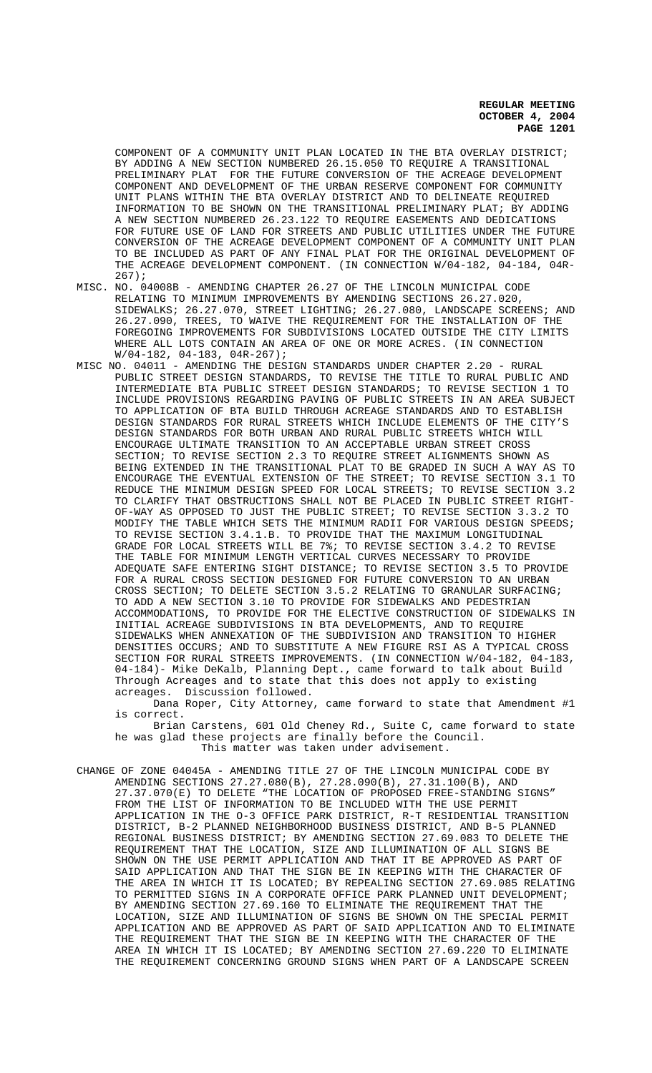COMPONENT OF A COMMUNITY UNIT PLAN LOCATED IN THE BTA OVERLAY DISTRICT; BY ADDING A NEW SECTION NUMBERED 26.15.050 TO REQUIRE A TRANSITIONAL PRELIMINARY PLAT FOR THE FUTURE CONVERSION OF THE ACREAGE DEVELOPMENT COMPONENT AND DEVELOPMENT OF THE URBAN RESERVE COMPONENT FOR COMMUNITY UNIT PLANS WITHIN THE BTA OVERLAY DISTRICT AND TO DELINEATE REQUIRED INFORMATION TO BE SHOWN ON THE TRANSITIONAL PRELIMINARY PLAT; BY ADDING A NEW SECTION NUMBERED 26.23.122 TO REQUIRE EASEMENTS AND DEDICATIONS FOR FUTURE USE OF LAND FOR STREETS AND PUBLIC UTILITIES UNDER THE FUTURE CONVERSION OF THE ACREAGE DEVELOPMENT COMPONENT OF A COMMUNITY UNIT PLAN TO BE INCLUDED AS PART OF ANY FINAL PLAT FOR THE ORIGINAL DEVELOPMENT OF THE ACREAGE DEVELOPMENT COMPONENT. (IN CONNECTION W/04-182, 04-184, 04R-267);

MISC. NO. 04008B - AMENDING CHAPTER 26.27 OF THE LINCOLN MUNICIPAL CODE RELATING TO MINIMUM IMPROVEMENTS BY AMENDING SECTIONS 26.27.020, SIDEWALKS; 26.27.070, STREET LIGHTING; 26.27.080, LANDSCAPE SCREENS; AND 26.27.090, TREES, TO WAIVE THE REQUIREMENT FOR THE INSTALLATION OF THE FOREGOING IMPROVEMENTS FOR SUBDIVISIONS LOCATED OUTSIDE THE CITY LIMITS WHERE ALL LOTS CONTAIN AN AREA OF ONE OR MORE ACRES. (IN CONNECTION  $\texttt{W/04-182,\;\; 04-183,\;\; 04R-267)}:$ 

MISC NO. 04011 - AMENDING THE DESIGN STANDARDS UNDER CHAPTER 2.20 - RURAL PUBLIC STREET DESIGN STANDARDS, TO REVISE THE TITLE TO RURAL PUBLIC AND INTERMEDIATE BTA PUBLIC STREET DESIGN STANDARDS; TO REVISE SECTION 1 TO INCLUDE PROVISIONS REGARDING PAVING OF PUBLIC STREETS IN AN AREA SUBJECT TO APPLICATION OF BTA BUILD THROUGH ACREAGE STANDARDS AND TO ESTABLISH DESIGN STANDARDS FOR RURAL STREETS WHICH INCLUDE ELEMENTS OF THE CITY'S DESIGN STANDARDS FOR BOTH URBAN AND RURAL PUBLIC STREETS WHICH WILL ENCOURAGE ULTIMATE TRANSITION TO AN ACCEPTABLE URBAN STREET CROSS SECTION; TO REVISE SECTION 2.3 TO REQUIRE STREET ALIGNMENTS SHOWN AS BEING EXTENDED IN THE TRANSITIONAL PLAT TO BE GRADED IN SUCH A WAY AS TO ENCOURAGE THE EVENTUAL EXTENSION OF THE STREET; TO REVISE SECTION 3.1 TO REDUCE THE MINIMUM DESIGN SPEED FOR LOCAL STREETS; TO REVISE SECTION 3.2 TO CLARIFY THAT OBSTRUCTIONS SHALL NOT BE PLACED IN PUBLIC STREET RIGHT-OF-WAY AS OPPOSED TO JUST THE PUBLIC STREET; TO REVISE SECTION 3.3.2 TO MODIFY THE TABLE WHICH SETS THE MINIMUM RADII FOR VARIOUS DESIGN SPEEDS; TO REVISE SECTION 3.4.1.B. TO PROVIDE THAT THE MAXIMUM LONGITUDINAL GRADE FOR LOCAL STREETS WILL BE 7%; TO REVISE SECTION 3.4.2 TO REVISE THE TABLE FOR MINIMUM LENGTH VERTICAL CURVES NECESSARY TO PROVIDE ADEQUATE SAFE ENTERING SIGHT DISTANCE; TO REVISE SECTION 3.5 TO PROVIDE FOR A RURAL CROSS SECTION DESIGNED FOR FUTURE CONVERSION TO AN URBAN CROSS SECTION; TO DELETE SECTION 3.5.2 RELATING TO GRANULAR SURFACING; TO ADD A NEW SECTION 3.10 TO PROVIDE FOR SIDEWALKS AND PEDESTRIAN ACCOMMODATIONS, TO PROVIDE FOR THE ELECTIVE CONSTRUCTION OF SIDEWALKS IN INITIAL ACREAGE SUBDIVISIONS IN BTA DEVELOPMENTS, AND TO REQUIRE SIDEWALKS WHEN ANNEXATION OF THE SUBDIVISION AND TRANSITION TO HIGHER DENSITIES OCCURS; AND TO SUBSTITUTE A NEW FIGURE RSI AS A TYPICAL CROSS SECTION FOR RURAL STREETS IMPROVEMENTS. (IN CONNECTION W/04-182, 04-183, 04-184)- Mike DeKalb, Planning Dept., came forward to talk about Build Through Acreages and to state that this does not apply to existing acreages. Discussion followed.

Dana Roper, City Attorney, came forward to state that Amendment #1 is correct.

Brian Carstens, 601 Old Cheney Rd., Suite C, came forward to state he was glad these projects are finally before the Council. This matter was taken under advisement.

CHANGE OF ZONE 04045A - AMENDING TITLE 27 OF THE LINCOLN MUNICIPAL CODE BY AMENDING SECTIONS 27.27.080(B), 27.28.090(B), 27.31.100(B), AND 27.37.070(E) TO DELETE "THE LOCATION OF PROPOSED FREE-STANDING SIGNS" FROM THE LIST OF INFORMATION TO BE INCLUDED WITH THE USE PERMIT APPLICATION IN THE O-3 OFFICE PARK DISTRICT, R-T RESIDENTIAL TRANSITION DISTRICT, B-2 PLANNED NEIGHBORHOOD BUSINESS DISTRICT, AND B-5 PLANNED REGIONAL BUSINESS DISTRICT; BY AMENDING SECTION 27.69.083 TO DELETE THE REQUIREMENT THAT THE LOCATION, SIZE AND ILLUMINATION OF ALL SIGNS BE SHOWN ON THE USE PERMIT APPLICATION AND THAT IT BE APPROVED AS PART OF SAID APPLICATION AND THAT THE SIGN BE IN KEEPING WITH THE CHARACTER OF THE AREA IN WHICH IT IS LOCATED; BY REPEALING SECTION 27.69.085 RELATING TO PERMITTED SIGNS IN A CORPORATE OFFICE PARK PLANNED UNIT DEVELOPMENT; BY AMENDING SECTION 27.69.160 TO ELIMINATE THE REQUIREMENT THAT THE LOCATION, SIZE AND ILLUMINATION OF SIGNS BE SHOWN ON THE SPECIAL PERMIT APPLICATION AND BE APPROVED AS PART OF SAID APPLICATION AND TO ELIMINATE THE REQUIREMENT THAT THE SIGN BE IN KEEPING WITH THE CHARACTER OF THE AREA IN WHICH IT IS LOCATED; BY AMENDING SECTION 27.69.220 TO ELIMINATE THE REQUIREMENT CONCERNING GROUND SIGNS WHEN PART OF A LANDSCAPE SCREEN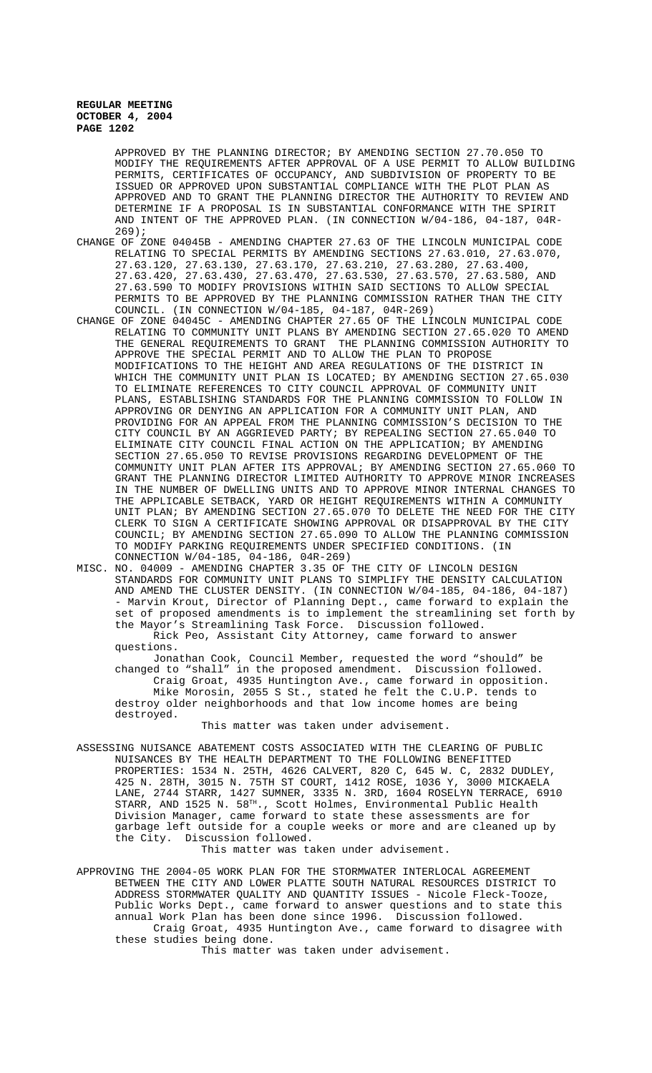> APPROVED BY THE PLANNING DIRECTOR; BY AMENDING SECTION 27.70.050 TO MODIFY THE REQUIREMENTS AFTER APPROVAL OF A USE PERMIT TO ALLOW BUILDING PERMITS, CERTIFICATES OF OCCUPANCY, AND SUBDIVISION OF PROPERTY TO BE ISSUED OR APPROVED UPON SUBSTANTIAL COMPLIANCE WITH THE PLOT PLAN AS APPROVED AND TO GRANT THE PLANNING DIRECTOR THE AUTHORITY TO REVIEW AND DETERMINE IF A PROPOSAL IS IN SUBSTANTIAL CONFORMANCE WITH THE SPIRIT AND INTENT OF THE APPROVED PLAN. (IN CONNECTION W/04-186, 04-187, 04R-269);

- CHANGE OF ZONE 04045B AMENDING CHAPTER 27.63 OF THE LINCOLN MUNICIPAL CODE RELATING TO SPECIAL PERMITS BY AMENDING SECTIONS 27.63.010, 27.63.070, 27.63.120, 27.63.130, 27.63.170, 27.63.210, 27.63.280, 27.63.400, 27.63.420, 27.63.430, 27.63.470, 27.63.530, 27.63.570, 27.63.580, AND 27.63.590 TO MODIFY PROVISIONS WITHIN SAID SECTIONS TO ALLOW SPECIAL PERMITS TO BE APPROVED BY THE PLANNING COMMISSION RATHER THAN THE CITY COUNCIL. (IN CONNECTION W/04-185, 04-187, 04R-269)
- CHANGE OF ZONE 04045C AMENDING CHAPTER 27.65 OF THE LINCOLN MUNICIPAL CODE RELATING TO COMMUNITY UNIT PLANS BY AMENDING SECTION 27.65.020 TO AMEND THE GENERAL REQUIREMENTS TO GRANT THE PLANNING COMMISSION AUTHORITY TO APPROVE THE SPECIAL PERMIT AND TO ALLOW THE PLAN TO PROPOSE MODIFICATIONS TO THE HEIGHT AND AREA REGULATIONS OF THE DISTRICT IN WHICH THE COMMUNITY UNIT PLAN IS LOCATED; BY AMENDING SECTION 27.65.030 TO ELIMINATE REFERENCES TO CITY COUNCIL APPROVAL OF COMMUNITY UNIT PLANS, ESTABLISHING STANDARDS FOR THE PLANNING COMMISSION TO FOLLOW IN APPROVING OR DENYING AN APPLICATION FOR A COMMUNITY UNIT PLAN, AND PROVIDING FOR AN APPEAL FROM THE PLANNING COMMISSION'S DECISION TO THE CITY COUNCIL BY AN AGGRIEVED PARTY; BY REPEALING SECTION 27.65.040 TO ELIMINATE CITY COUNCIL FINAL ACTION ON THE APPLICATION; BY AMENDING SECTION 27.65.050 TO REVISE PROVISIONS REGARDING DEVELOPMENT OF THE COMMUNITY UNIT PLAN AFTER ITS APPROVAL; BY AMENDING SECTION 27.65.060 TO GRANT THE PLANNING DIRECTOR LIMITED AUTHORITY TO APPROVE MINOR INCREASES IN THE NUMBER OF DWELLING UNITS AND TO APPROVE MINOR INTERNAL CHANGES TO THE APPLICABLE SETBACK, YARD OR HEIGHT REQUIREMENTS WITHIN A COMMUNITY UNIT PLAN; BY AMENDING SECTION 27.65.070 TO DELETE THE NEED FOR THE CITY CLERK TO SIGN A CERTIFICATE SHOWING APPROVAL OR DISAPPROVAL BY THE CITY COUNCIL; BY AMENDING SECTION 27.65.090 TO ALLOW THE PLANNING COMMISSION TO MODIFY PARKING REQUIREMENTS UNDER SPECIFIED CONDITIONS. (IN CONNECTION W/04-185, 04-186, 04R-269)
- MISC. NO. 04009 AMENDING CHAPTER 3.35 OF THE CITY OF LINCOLN DESIGN STANDARDS FOR COMMUNITY UNIT PLANS TO SIMPLIFY THE DENSITY CALCULATION AND AMEND THE CLUSTER DENSITY. (IN CONNECTION W/04-185, 04-186, 04-187) - Marvin Krout, Director of Planning Dept., came forward to explain the set of proposed amendments is to implement the streamlining set forth by the Mayor's Streamlining Task Force. Discussion followed. Rick Peo, Assistant City Attorney, came forward to answer

questions. Jonathan Cook, Council Member, requested the word "should" be changed to "shall" in the proposed amendment. Discussion followed. Craig Groat, 4935 Huntington Ave., came forward in opposition. Mike Morosin, 2055 S St., stated he felt the C.U.P. tends to destroy older neighborhoods and that low income homes are being destroyed.

This matter was taken under advisement.

ASSESSING NUISANCE ABATEMENT COSTS ASSOCIATED WITH THE CLEARING OF PUBLIC NUISANCES BY THE HEALTH DEPARTMENT TO THE FOLLOWING BENEFITTED PROPERTIES: 1534 N. 25TH, 4626 CALVERT, 820 C, 645 W. C, 2832 DUDLEY, 425 N. 28TH, 3015 N. 75TH ST COURT, 1412 ROSE, 1036 Y, 3000 MICKAELA LANE, 2744 STARR, 1427 SUMNER, 3335 N. 3RD, 1604 ROSELYN TERRACE, 6910 STARR, AND 1525 N. 58TH., Scott Holmes, Environmental Public Health Division Manager, came forward to state these assessments are for garbage left outside for a couple weeks or more and are cleaned up by the City. Discussion followed.

This matter was taken under advisement.

APPROVING THE 2004-05 WORK PLAN FOR THE STORMWATER INTERLOCAL AGREEMENT BETWEEN THE CITY AND LOWER PLATTE SOUTH NATURAL RESOURCES DISTRICT TO ADDRESS STORMWATER QUALITY AND QUANTITY ISSUES - Nicole Fleck-Tooze, Public Works Dept., came forward to answer questions and to state this annual Work Plan has been done since 1996. Discussion followed. Craig Groat, 4935 Huntington Ave., came forward to disagree with these studies being done. This matter was taken under advisement.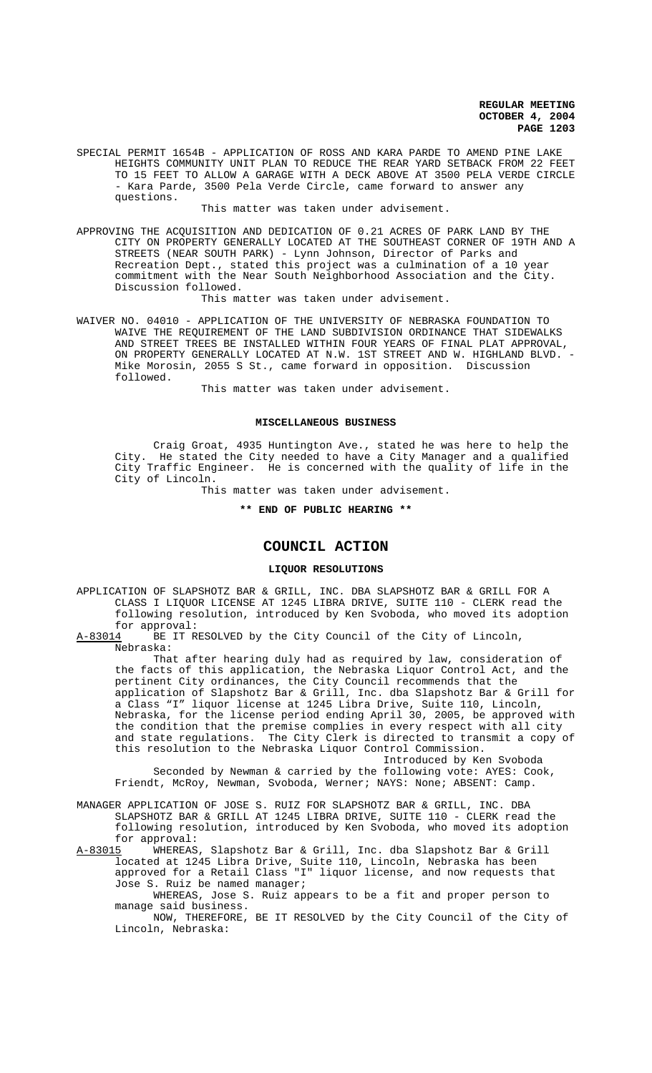SPECIAL PERMIT 1654B - APPLICATION OF ROSS AND KARA PARDE TO AMEND PINE LAKE HEIGHTS COMMUNITY UNIT PLAN TO REDUCE THE REAR YARD SETBACK FROM 22 FEET TO 15 FEET TO ALLOW A GARAGE WITH A DECK ABOVE AT 3500 PELA VERDE CIRCLE - Kara Parde, 3500 Pela Verde Circle, came forward to answer any questions.

This matter was taken under advisement.

APPROVING THE ACQUISITION AND DEDICATION OF 0.21 ACRES OF PARK LAND BY THE CITY ON PROPERTY GENERALLY LOCATED AT THE SOUTHEAST CORNER OF 19TH AND A STREETS (NEAR SOUTH PARK) - Lynn Johnson, Director of Parks and Recreation Dept., stated this project was a culmination of a 10 year commitment with the Near South Neighborhood Association and the City. Discussion followed.

This matter was taken under advisement.

WAIVER NO. 04010 - APPLICATION OF THE UNIVERSITY OF NEBRASKA FOUNDATION TO WAIVE THE REQUIREMENT OF THE LAND SUBDIVISION ORDINANCE THAT SIDEWALKS AND STREET TREES BE INSTALLED WITHIN FOUR YEARS OF FINAL PLAT APPROVAL, ON PROPERTY GENERALLY LOCATED AT N.W. 1ST STREET AND W. HIGHLAND BLVD. - Mike Morosin, 2055 S St., came forward in opposition. Discussion followed.

This matter was taken under advisement.

#### **MISCELLANEOUS BUSINESS**

Craig Groat, 4935 Huntington Ave., stated he was here to help the City. He stated the City needed to have a City Manager and a qualified City Traffic Engineer. He is concerned with the quality of life in the City of Lincoln.

This matter was taken under advisement.

**\*\* END OF PUBLIC HEARING \*\***

# **COUNCIL ACTION**

# **LIQUOR RESOLUTIONS**

APPLICATION OF SLAPSHOTZ BAR & GRILL, INC. DBA SLAPSHOTZ BAR & GRILL FOR A CLASS I LIQUOR LICENSE AT 1245 LIBRA DRIVE, SUITE 110 - CLERK read the following resolution, introduced by Ken Svoboda, who moved its adoption for approval:<br><u>A-83014</u> BE IT R

BE IT RESOLVED by the City Council of the City of Lincoln, Nebraska:

That after hearing duly had as required by law, consideration of the facts of this application, the Nebraska Liquor Control Act, and the pertinent City ordinances, the City Council recommends that the application of Slapshotz Bar & Grill, Inc. dba Slapshotz Bar & Grill for a Class "I" liquor license at 1245 Libra Drive, Suite 110, Lincoln, Nebraska, for the license period ending April 30, 2005, be approved with the condition that the premise complies in every respect with all city and state regulations. The City Clerk is directed to transmit a copy of this resolution to the Nebraska Liquor Control Commission.

Introduced by Ken Svoboda Seconded by Newman & carried by the following vote: AYES: Cook, Friendt, McRoy, Newman, Svoboda, Werner; NAYS: None; ABSENT: Camp.

MANAGER APPLICATION OF JOSE S. RUIZ FOR SLAPSHOTZ BAR & GRILL, INC. DBA SLAPSHOTZ BAR & GRILL AT 1245 LIBRA DRIVE, SUITE 110 - CLERK read the following resolution, introduced by Ken Svoboda, who moved its adoption

for approval:<br><u>A-83015</u> WHEREAS WHEREAS, Slapshotz Bar & Grill, Inc. dba Slapshotz Bar & Grill located at 1245 Libra Drive, Suite 110, Lincoln, Nebraska has been approved for a Retail Class "I" liquor license, and now requests that Jose S. Ruiz be named manager;

WHEREAS, Jose S. Ruiz appears to be a fit and proper person to manage said business.

NOW, THEREFORE, BE IT RESOLVED by the City Council of the City of Lincoln, Nebraska: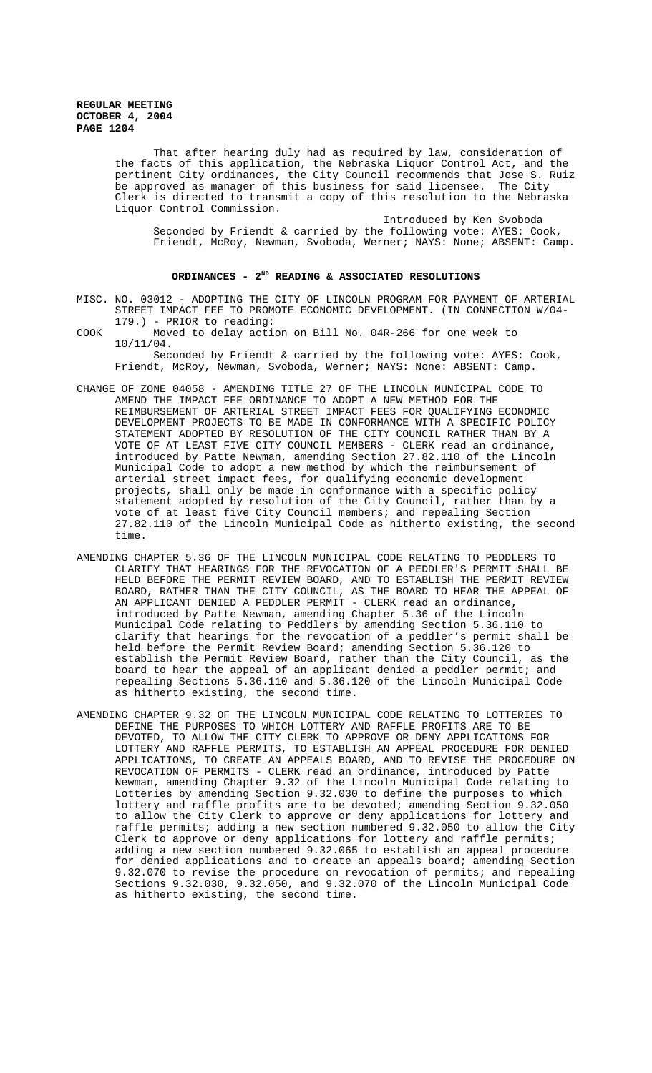That after hearing duly had as required by law, consideration of the facts of this application, the Nebraska Liquor Control Act, and the pertinent City ordinances, the City Council recommends that Jose S. Ruiz be approved as manager of this business for said licensee. The City Clerk is directed to transmit a copy of this resolution to the Nebraska Liquor Control Commission.

Introduced by Ken Svoboda Seconded by Friendt & carried by the following vote: AYES: Cook, Friendt, McRoy, Newman, Svoboda, Werner; NAYS: None; ABSENT: Camp.

# ORDINANCES - 2<sup>ND</sup> READING & ASSOCIATED RESOLUTIONS

- MISC. NO. 03012 ADOPTING THE CITY OF LINCOLN PROGRAM FOR PAYMENT OF ARTERIAL STREET IMPACT FEE TO PROMOTE ECONOMIC DEVELOPMENT. (IN CONNECTION W/04- 179.) - PRIOR to reading:
- COOK Moved to delay action on Bill No. 04R-266 for one week to 10/11/04.

Seconded by Friendt & carried by the following vote: AYES: Cook, Friendt, McRoy, Newman, Svoboda, Werner; NAYS: None: ABSENT: Camp.

- CHANGE OF ZONE 04058 AMENDING TITLE 27 OF THE LINCOLN MUNICIPAL CODE TO AMEND THE IMPACT FEE ORDINANCE TO ADOPT A NEW METHOD FOR THE REIMBURSEMENT OF ARTERIAL STREET IMPACT FEES FOR QUALIFYING ECONOMIC DEVELOPMENT PROJECTS TO BE MADE IN CONFORMANCE WITH A SPECIFIC POLICY STATEMENT ADOPTED BY RESOLUTION OF THE CITY COUNCIL RATHER THAN BY A VOTE OF AT LEAST FIVE CITY COUNCIL MEMBERS - CLERK read an ordinance, introduced by Patte Newman, amending Section 27.82.110 of the Lincoln Municipal Code to adopt a new method by which the reimbursement of arterial street impact fees, for qualifying economic development projects, shall only be made in conformance with a specific policy statement adopted by resolution of the City Council, rather than by a vote of at least five City Council members; and repealing Section 27.82.110 of the Lincoln Municipal Code as hitherto existing, the second time.
- AMENDING CHAPTER 5.36 OF THE LINCOLN MUNICIPAL CODE RELATING TO PEDDLERS TO CLARIFY THAT HEARINGS FOR THE REVOCATION OF A PEDDLER'S PERMIT SHALL BE HELD BEFORE THE PERMIT REVIEW BOARD, AND TO ESTABLISH THE PERMIT REVIEW BOARD, RATHER THAN THE CITY COUNCIL, AS THE BOARD TO HEAR THE APPEAL OF AN APPLICANT DENIED A PEDDLER PERMIT - CLERK read an ordinance, introduced by Patte Newman, amending Chapter 5.36 of the Lincoln Municipal Code relating to Peddlers by amending Section 5.36.110 to clarify that hearings for the revocation of a peddler's permit shall be held before the Permit Review Board; amending Section 5.36.120 to establish the Permit Review Board, rather than the City Council, as the board to hear the appeal of an applicant denied a peddler permit; and repealing Sections 5.36.110 and 5.36.120 of the Lincoln Municipal Code as hitherto existing, the second time.
- AMENDING CHAPTER 9.32 OF THE LINCOLN MUNICIPAL CODE RELATING TO LOTTERIES TO DEFINE THE PURPOSES TO WHICH LOTTERY AND RAFFLE PROFITS ARE TO BE DEVOTED, TO ALLOW THE CITY CLERK TO APPROVE OR DENY APPLICATIONS FOR LOTTERY AND RAFFLE PERMITS, TO ESTABLISH AN APPEAL PROCEDURE FOR DENIED APPLICATIONS, TO CREATE AN APPEALS BOARD, AND TO REVISE THE PROCEDURE ON REVOCATION OF PERMITS - CLERK read an ordinance, introduced by Patte Newman, amending Chapter 9.32 of the Lincoln Municipal Code relating to Lotteries by amending Section 9.32.030 to define the purposes to which lottery and raffle profits are to be devoted; amending Section 9.32.050 to allow the City Clerk to approve or deny applications for lottery and raffle permits; adding a new section numbered 9.32.050 to allow the City Clerk to approve or deny applications for lottery and raffle permits; adding a new section numbered 9.32.065 to establish an appeal procedure for denied applications and to create an appeals board; amending Section 9.32.070 to revise the procedure on revocation of permits; and repealing Sections 9.32.030, 9.32.050, and 9.32.070 of the Lincoln Municipal Code as hitherto existing, the second time.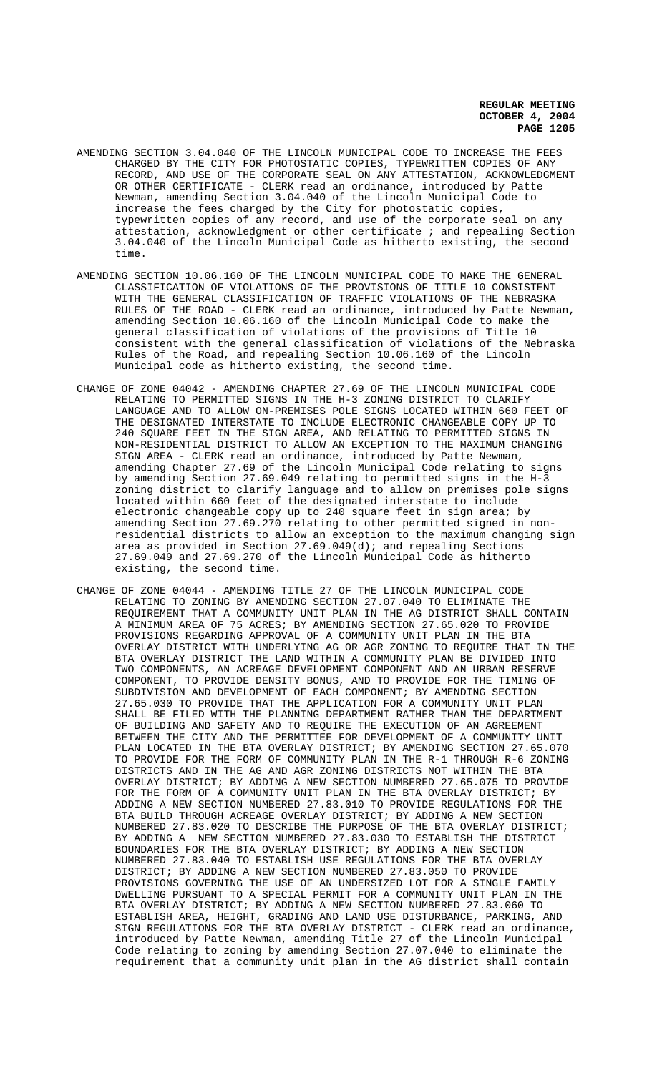- AMENDING SECTION 3.04.040 OF THE LINCOLN MUNICIPAL CODE TO INCREASE THE FEES CHARGED BY THE CITY FOR PHOTOSTATIC COPIES, TYPEWRITTEN COPIES OF ANY RECORD, AND USE OF THE CORPORATE SEAL ON ANY ATTESTATION, ACKNOWLEDGMENT OR OTHER CERTIFICATE - CLERK read an ordinance, introduced by Patte Newman, amending Section 3.04.040 of the Lincoln Municipal Code to increase the fees charged by the City for photostatic copies, typewritten copies of any record, and use of the corporate seal on any attestation, acknowledgment or other certificate ; and repealing Section 3.04.040 of the Lincoln Municipal Code as hitherto existing, the second time.
- AMENDING SECTION 10.06.160 OF THE LINCOLN MUNICIPAL CODE TO MAKE THE GENERAL CLASSIFICATION OF VIOLATIONS OF THE PROVISIONS OF TITLE 10 CONSISTENT WITH THE GENERAL CLASSIFICATION OF TRAFFIC VIOLATIONS OF THE NEBRASKA RULES OF THE ROAD - CLERK read an ordinance, introduced by Patte Newman, amending Section 10.06.160 of the Lincoln Municipal Code to make the general classification of violations of the provisions of Title 10 consistent with the general classification of violations of the Nebraska Rules of the Road, and repealing Section 10.06.160 of the Lincoln Municipal code as hitherto existing, the second time.
- CHANGE OF ZONE 04042 AMENDING CHAPTER 27.69 OF THE LINCOLN MUNICIPAL CODE RELATING TO PERMITTED SIGNS IN THE H-3 ZONING DISTRICT TO CLARIFY LANGUAGE AND TO ALLOW ON-PREMISES POLE SIGNS LOCATED WITHIN 660 FEET OF THE DESIGNATED INTERSTATE TO INCLUDE ELECTRONIC CHANGEABLE COPY UP TO 240 SQUARE FEET IN THE SIGN AREA, AND RELATING TO PERMITTED SIGNS IN NON-RESIDENTIAL DISTRICT TO ALLOW AN EXCEPTION TO THE MAXIMUM CHANGING SIGN AREA - CLERK read an ordinance, introduced by Patte Newman, amending Chapter 27.69 of the Lincoln Municipal Code relating to signs by amending Section 27.69.049 relating to permitted signs in the H-3 zoning district to clarify language and to allow on premises pole signs located within 660 feet of the designated interstate to include electronic changeable copy up to 240 square feet in sign area; by amending Section 27.69.270 relating to other permitted signed in nonresidential districts to allow an exception to the maximum changing sign area as provided in Section  $27.69.049(d)$ ; and repealing Sections 27.69.049 and 27.69.270 of the Lincoln Municipal Code as hitherto existing, the second time.
- CHANGE OF ZONE 04044 AMENDING TITLE 27 OF THE LINCOLN MUNICIPAL CODE RELATING TO ZONING BY AMENDING SECTION 27.07.040 TO ELIMINATE THE REQUIREMENT THAT A COMMUNITY UNIT PLAN IN THE AG DISTRICT SHALL CONTAIN A MINIMUM AREA OF 75 ACRES; BY AMENDING SECTION 27.65.020 TO PROVIDE PROVISIONS REGARDING APPROVAL OF A COMMUNITY UNIT PLAN IN THE BTA OVERLAY DISTRICT WITH UNDERLYING AG OR AGR ZONING TO REQUIRE THAT IN THE BTA OVERLAY DISTRICT THE LAND WITHIN A COMMUNITY PLAN BE DIVIDED INTO TWO COMPONENTS, AN ACREAGE DEVELOPMENT COMPONENT AND AN URBAN RESERVE COMPONENT, TO PROVIDE DENSITY BONUS, AND TO PROVIDE FOR THE TIMING OF SUBDIVISION AND DEVELOPMENT OF EACH COMPONENT; BY AMENDING SECTION 27.65.030 TO PROVIDE THAT THE APPLICATION FOR A COMMUNITY UNIT PLAN SHALL BE FILED WITH THE PLANNING DEPARTMENT RATHER THAN THE DEPARTMENT OF BUILDING AND SAFETY AND TO REQUIRE THE EXECUTION OF AN AGREEMENT BETWEEN THE CITY AND THE PERMITTEE FOR DEVELOPMENT OF A COMMUNITY UNIT PLAN LOCATED IN THE BTA OVERLAY DISTRICT; BY AMENDING SECTION 27.65.070 TO PROVIDE FOR THE FORM OF COMMUNITY PLAN IN THE R-1 THROUGH R-6 ZONING DISTRICTS AND IN THE AG AND AGR ZONING DISTRICTS NOT WITHIN THE BTA OVERLAY DISTRICT; BY ADDING A NEW SECTION NUMBERED 27.65.075 TO PROVIDE FOR THE FORM OF A COMMUNITY UNIT PLAN IN THE BTA OVERLAY DISTRICT; BY ADDING A NEW SECTION NUMBERED 27.83.010 TO PROVIDE REGULATIONS FOR THE BTA BUILD THROUGH ACREAGE OVERLAY DISTRICT; BY ADDING A NEW SECTION NUMBERED 27.83.020 TO DESCRIBE THE PURPOSE OF THE BTA OVERLAY DISTRICT; BY ADDING A NEW SECTION NUMBERED 27.83.030 TO ESTABLISH THE DISTRICT BOUNDARIES FOR THE BTA OVERLAY DISTRICT; BY ADDING A NEW SECTION NUMBERED 27.83.040 TO ESTABLISH USE REGULATIONS FOR THE BTA OVERLAY DISTRICT; BY ADDING A NEW SECTION NUMBERED 27.83.050 TO PROVIDE PROVISIONS GOVERNING THE USE OF AN UNDERSIZED LOT FOR A SINGLE FAMILY DWELLING PURSUANT TO A SPECIAL PERMIT FOR A COMMUNITY UNIT PLAN IN THE BTA OVERLAY DISTRICT; BY ADDING A NEW SECTION NUMBERED 27.83.060 TO ESTABLISH AREA, HEIGHT, GRADING AND LAND USE DISTURBANCE, PARKING, AND SIGN REGULATIONS FOR THE BTA OVERLAY DISTRICT - CLERK read an ordinance, introduced by Patte Newman, amending Title 27 of the Lincoln Municipal Code relating to zoning by amending Section 27.07.040 to eliminate the requirement that a community unit plan in the AG district shall contain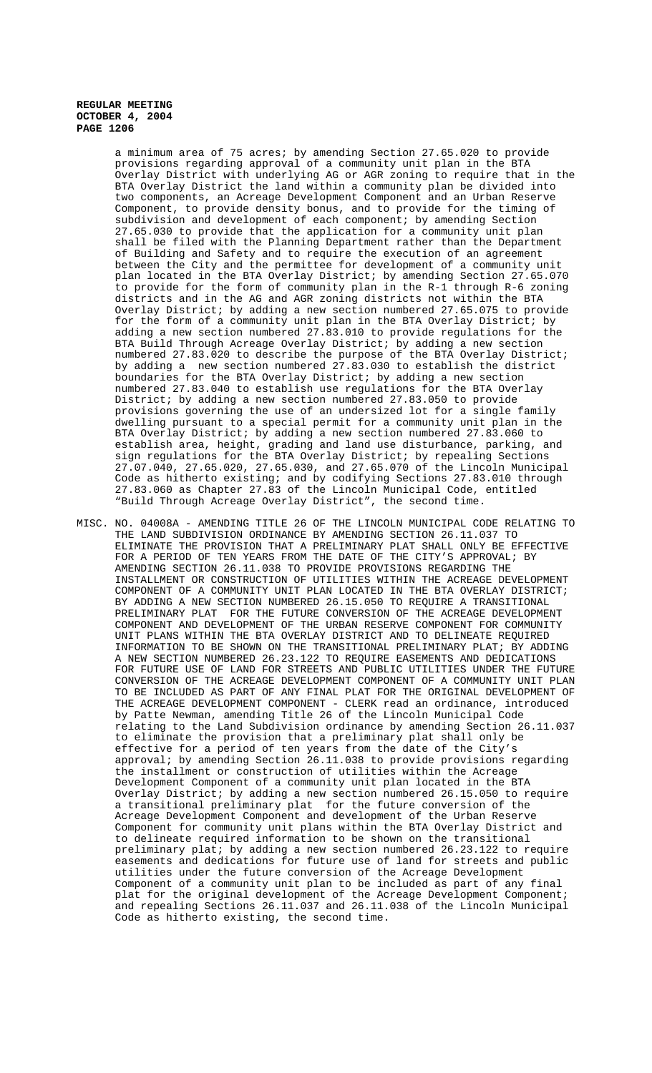> a minimum area of 75 acres; by amending Section 27.65.020 to provide provisions regarding approval of a community unit plan in the BTA Overlay District with underlying AG or AGR zoning to require that in the BTA Overlay District the land within a community plan be divided into two components, an Acreage Development Component and an Urban Reserve Component, to provide density bonus, and to provide for the timing of subdivision and development of each component; by amending Section 27.65.030 to provide that the application for a community unit plan shall be filed with the Planning Department rather than the Department of Building and Safety and to require the execution of an agreement between the City and the permittee for development of a community unit plan located in the BTA Overlay District; by amending Section 27.65.070 to provide for the form of community plan in the R-1 through R-6 zoning districts and in the AG and AGR zoning districts not within the BTA Overlay District; by adding a new section numbered 27.65.075 to provide for the form of a community unit plan in the BTA Overlay District; by adding a new section numbered 27.83.010 to provide regulations for the BTA Build Through Acreage Overlay District; by adding a new section numbered 27.83.020 to describe the purpose of the BTA Overlay District; by adding a new section numbered  $27.83.030$  to establish the district boundaries for the BTA Overlay District; by adding a new section numbered 27.83.040 to establish use regulations for the BTA Overlay District; by adding a new section numbered 27.83.050 to provide provisions governing the use of an undersized lot for a single family dwelling pursuant to a special permit for a community unit plan in the BTA Overlay District; by adding a new section numbered 27.83.060 to establish area, height, grading and land use disturbance, parking, and sign regulations for the BTA Overlay District; by repealing Sections 27.07.040, 27.65.020, 27.65.030, and 27.65.070 of the Lincoln Municipal Code as hitherto existing; and by codifying Sections 27.83.010 through 27.83.060 as Chapter 27.83 of the Lincoln Municipal Code, entitled "Build Through Acreage Overlay District", the second time.

MISC. NO. 04008A - AMENDING TITLE 26 OF THE LINCOLN MUNICIPAL CODE RELATING TO THE LAND SUBDIVISION ORDINANCE BY AMENDING SECTION 26.11.037 TO ELIMINATE THE PROVISION THAT A PRELIMINARY PLAT SHALL ONLY BE EFFECTIVE FOR A PERIOD OF TEN YEARS FROM THE DATE OF THE CITY'S APPROVAL; BY AMENDING SECTION 26.11.038 TO PROVIDE PROVISIONS REGARDING THE INSTALLMENT OR CONSTRUCTION OF UTILITIES WITHIN THE ACREAGE DEVELOPMENT COMPONENT OF A COMMUNITY UNIT PLAN LOCATED IN THE BTA OVERLAY DISTRICT; BY ADDING A NEW SECTION NUMBERED 26.15.050 TO REQUIRE A TRANSITIONAL PRELIMINARY PLAT FOR THE FUTURE CONVERSION OF THE ACREAGE DEVELOPMENT COMPONENT AND DEVELOPMENT OF THE URBAN RESERVE COMPONENT FOR COMMUNITY UNIT PLANS WITHIN THE BTA OVERLAY DISTRICT AND TO DELINEATE REQUIRED INFORMATION TO BE SHOWN ON THE TRANSITIONAL PRELIMINARY PLAT; BY ADDING A NEW SECTION NUMBERED 26.23.122 TO REQUIRE EASEMENTS AND DEDICATIONS FOR FUTURE USE OF LAND FOR STREETS AND PUBLIC UTILITIES UNDER THE FUTURE CONVERSION OF THE ACREAGE DEVELOPMENT COMPONENT OF A COMMUNITY UNIT PLAN TO BE INCLUDED AS PART OF ANY FINAL PLAT FOR THE ORIGINAL DEVELOPMENT OF THE ACREAGE DEVELOPMENT COMPONENT - CLERK read an ordinance, introduced by Patte Newman, amending Title 26 of the Lincoln Municipal Code relating to the Land Subdivision ordinance by amending Section 26.11.037 to eliminate the provision that a preliminary plat shall only be effective for a period of ten years from the date of the City's approval; by amending Section 26.11.038 to provide provisions regarding the installment or construction of utilities within the Acreage Development Component of a community unit plan located in the BTA Overlay District; by adding a new section numbered 26.15.050 to require a transitional preliminary plat for the future conversion of the Acreage Development Component and development of the Urban Reserve Component for community unit plans within the BTA Overlay District and to delineate required information to be shown on the transitional preliminary plat; by adding a new section numbered 26.23.122 to require easements and dedications for future use of land for streets and public utilities under the future conversion of the Acreage Development Component of a community unit plan to be included as part of any final plat for the original development of the Acreage Development Component; and repealing Sections 26.11.037 and 26.11.038 of the Lincoln Municipal Code as hitherto existing, the second time.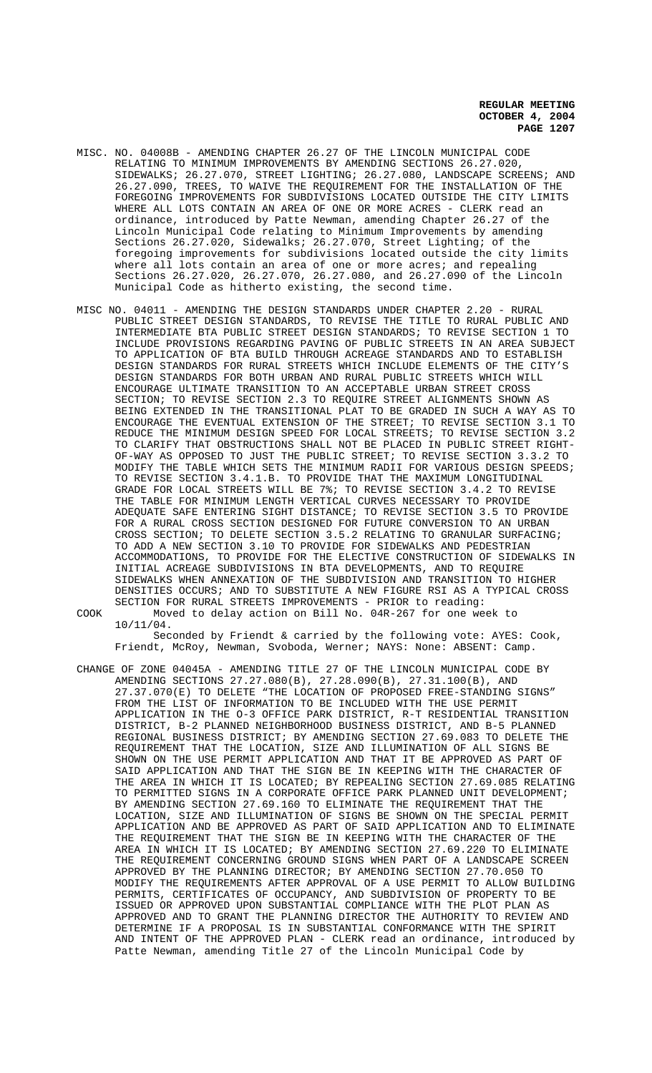- MISC. NO. 04008B AMENDING CHAPTER 26.27 OF THE LINCOLN MUNICIPAL CODE RELATING TO MINIMUM IMPROVEMENTS BY AMENDING SECTIONS 26.27.020, SIDEWALKS; 26.27.070, STREET LIGHTING; 26.27.080, LANDSCAPE SCREENS; AND 26.27.090, TREES, TO WAIVE THE REQUIREMENT FOR THE INSTALLATION OF THE FOREGOING IMPROVEMENTS FOR SUBDIVISIONS LOCATED OUTSIDE THE CITY LIMITS WHERE ALL LOTS CONTAIN AN AREA OF ONE OR MORE ACRES - CLERK read an ordinance, introduced by Patte Newman, amending Chapter 26.27 of the Lincoln Municipal Code relating to Minimum Improvements by amending Sections 26.27.020, Sidewalks; 26.27.070, Street Lighting; of the foregoing improvements for subdivisions located outside the city limits where all lots contain an area of one or more acres; and repealing Sections 26.27.020, 26.27.070, 26.27.080, and 26.27.090 of the Lincoln Municipal Code as hitherto existing, the second time.
- MISC NO. 04011 AMENDING THE DESIGN STANDARDS UNDER CHAPTER 2.20 RURAL PUBLIC STREET DESIGN STANDARDS, TO REVISE THE TITLE TO RURAL PUBLIC AND INTERMEDIATE BTA PUBLIC STREET DESIGN STANDARDS; TO REVISE SECTION 1 TO INCLUDE PROVISIONS REGARDING PAVING OF PUBLIC STREETS IN AN AREA SUBJECT TO APPLICATION OF BTA BUILD THROUGH ACREAGE STANDARDS AND TO ESTABLISH DESIGN STANDARDS FOR RURAL STREETS WHICH INCLUDE ELEMENTS OF THE CITY'S DESIGN STANDARDS FOR BOTH URBAN AND RURAL PUBLIC STREETS WHICH WILL ENCOURAGE ULTIMATE TRANSITION TO AN ACCEPTABLE URBAN STREET CROSS SECTION; TO REVISE SECTION 2.3 TO REQUIRE STREET ALIGNMENTS SHOWN AS BEING EXTENDED IN THE TRANSITIONAL PLAT TO BE GRADED IN SUCH A WAY AS TO ENCOURAGE THE EVENTUAL EXTENSION OF THE STREET; TO REVISE SECTION 3.1 TO REDUCE THE MINIMUM DESIGN SPEED FOR LOCAL STREETS; TO REVISE SECTION 3.2 TO CLARIFY THAT OBSTRUCTIONS SHALL NOT BE PLACED IN PUBLIC STREET RIGHT-OF-WAY AS OPPOSED TO JUST THE PUBLIC STREET; TO REVISE SECTION 3.3.2 TO MODIFY THE TABLE WHICH SETS THE MINIMUM RADII FOR VARIOUS DESIGN SPEEDS; TO REVISE SECTION 3.4.1.B. TO PROVIDE THAT THE MAXIMUM LONGITUDINAL GRADE FOR LOCAL STREETS WILL BE 7%; TO REVISE SECTION 3.4.2 TO REVISE THE TABLE FOR MINIMUM LENGTH VERTICAL CURVES NECESSARY TO PROVIDE ADEQUATE SAFE ENTERING SIGHT DISTANCE; TO REVISE SECTION 3.5 TO PROVIDE FOR A RURAL CROSS SECTION DESIGNED FOR FUTURE CONVERSION TO AN URBAN CROSS SECTION; TO DELETE SECTION 3.5.2 RELATING TO GRANULAR SURFACING; TO ADD A NEW SECTION 3.10 TO PROVIDE FOR SIDEWALKS AND PEDESTRIAN ACCOMMODATIONS, TO PROVIDE FOR THE ELECTIVE CONSTRUCTION OF SIDEWALKS IN INITIAL ACREAGE SUBDIVISIONS IN BTA DEVELOPMENTS, AND TO REQUIRE SIDEWALKS WHEN ANNEXATION OF THE SUBDIVISION AND TRANSITION TO HIGHER DENSITIES OCCURS; AND TO SUBSTITUTE A NEW FIGURE RSI AS A TYPICAL CROSS SECTION FOR RURAL STREETS IMPROVEMENTS - PRIOR to reading: COOK Moved to delay action on Bill No. 04R-267 for one week to
	- 10/11/04. Seconded by Friendt & carried by the following vote: AYES: Cook, Friendt, McRoy, Newman, Svoboda, Werner; NAYS: None: ABSENT: Camp.
- CHANGE OF ZONE 04045A AMENDING TITLE 27 OF THE LINCOLN MUNICIPAL CODE BY AMENDING SECTIONS 27.27.080(B), 27.28.090(B), 27.31.100(B), AND 27.37.070(E) TO DELETE "THE LOCATION OF PROPOSED FREE-STANDING SIGNS" FROM THE LIST OF INFORMATION TO BE INCLUDED WITH THE USE PERMIT APPLICATION IN THE O-3 OFFICE PARK DISTRICT, R-T RESIDENTIAL TRANSITION DISTRICT, B-2 PLANNED NEIGHBORHOOD BUSINESS DISTRICT, AND B-5 PLANNED REGIONAL BUSINESS DISTRICT; BY AMENDING SECTION 27.69.083 TO DELETE THE REQUIREMENT THAT THE LOCATION, SIZE AND ILLUMINATION OF ALL SIGNS BE SHOWN ON THE USE PERMIT APPLICATION AND THAT IT BE APPROVED AS PART OF SAID APPLICATION AND THAT THE SIGN BE IN KEEPING WITH THE CHARACTER OF THE AREA IN WHICH IT IS LOCATED; BY REPEALING SECTION 27.69.085 RELATING TO PERMITTED SIGNS IN A CORPORATE OFFICE PARK PLANNED UNIT DEVELOPMENT; BY AMENDING SECTION 27.69.160 TO ELIMINATE THE REQUIREMENT THAT THE LOCATION, SIZE AND ILLUMINATION OF SIGNS BE SHOWN ON THE SPECIAL PERMIT APPLICATION AND BE APPROVED AS PART OF SAID APPLICATION AND TO ELIMINATE THE REQUIREMENT THAT THE SIGN BE IN KEEPING WITH THE CHARACTER OF THE AREA IN WHICH IT IS LOCATED; BY AMENDING SECTION 27.69.220 TO ELIMINATE THE REQUIREMENT CONCERNING GROUND SIGNS WHEN PART OF A LANDSCAPE SCREEN APPROVED BY THE PLANNING DIRECTOR; BY AMENDING SECTION 27.70.050 TO MODIFY THE REQUIREMENTS AFTER APPROVAL OF A USE PERMIT TO ALLOW BUILDING PERMITS, CERTIFICATES OF OCCUPANCY, AND SUBDIVISION OF PROPERTY TO BE ISSUED OR APPROVED UPON SUBSTANTIAL COMPLIANCE WITH THE PLOT PLAN AS APPROVED AND TO GRANT THE PLANNING DIRECTOR THE AUTHORITY TO REVIEW AND DETERMINE IF A PROPOSAL IS IN SUBSTANTIAL CONFORMANCE WITH THE SPIRIT AND INTENT OF THE APPROVED PLAN - CLERK read an ordinance, introduced by Patte Newman, amending Title 27 of the Lincoln Municipal Code by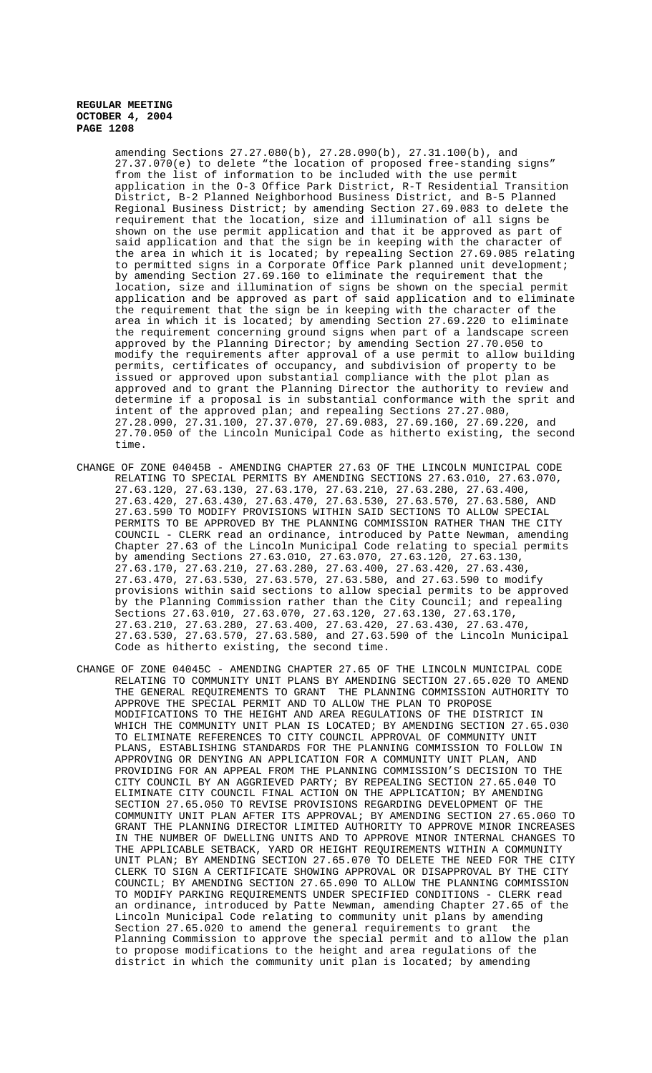amending Sections 27.27.080(b), 27.28.090(b), 27.31.100(b), and 27.37.070(e) to delete "the location of proposed free-standing signs" from the list of information to be included with the use permit application in the O-3 Office Park District, R-T Residential Transition District, B-2 Planned Neighborhood Business District, and B-5 Planned Regional Business District; by amending Section 27.69.083 to delete the requirement that the location, size and illumination of all signs be shown on the use permit application and that it be approved as part of said application and that the sign be in keeping with the character of the area in which it is located; by repealing Section 27.69.085 relating to permitted signs in a Corporate Office Park planned unit development; by amending Section 27.69.160 to eliminate the requirement that the location, size and illumination of signs be shown on the special permit application and be approved as part of said application and to eliminate the requirement that the sign be in keeping with the character of the area in which it is located; by amending Section 27.69.220 to eliminate the requirement concerning ground signs when part of a landscape screen approved by the Planning Director; by amending Section 27.70.050 to modify the requirements after approval of a use permit to allow building permits, certificates of occupancy, and subdivision of property to be issued or approved upon substantial compliance with the plot plan as approved and to grant the Planning Director the authority to review and determine if a proposal is in substantial conformance with the sprit and intent of the approved plan; and repealing Sections 27.27.080, 27.28.090, 27.31.100, 27.37.070, 27.69.083, 27.69.160, 27.69.220, and 27.70.050 of the Lincoln Municipal Code as hitherto existing, the second time.

- CHANGE OF ZONE 04045B AMENDING CHAPTER 27.63 OF THE LINCOLN MUNICIPAL CODE RELATING TO SPECIAL PERMITS BY AMENDING SECTIONS 27.63.010, 27.63.070, 27.63.120, 27.63.130, 27.63.170, 27.63.210, 27.63.280, 27.63.400, 27.63.420, 27.63.430, 27.63.470, 27.63.530, 27.63.570, 27.63.580, AND 27.63.590 TO MODIFY PROVISIONS WITHIN SAID SECTIONS TO ALLOW SPECIAL PERMITS TO BE APPROVED BY THE PLANNING COMMISSION RATHER THAN THE CITY COUNCIL - CLERK read an ordinance, introduced by Patte Newman, amending Chapter 27.63 of the Lincoln Municipal Code relating to special permits by amending Sections 27.63.010, 27.63.070, 27.63.120, 27.63.130, 27.63.170, 27.63.210, 27.63.280, 27.63.400, 27.63.420, 27.63.430, 27.63.470, 27.63.530, 27.63.570, 27.63.580, and 27.63.590 to modify provisions within said sections to allow special permits to be approved by the Planning Commission rather than the City Council; and repealing Sections 27.63.010, 27.63.070, 27.63.120, 27.63.130, 27.63.170, 27.63.210, 27.63.280, 27.63.400, 27.63.420, 27.63.430, 27.63.470, 27.63.530, 27.63.570, 27.63.580, and 27.63.590 of the Lincoln Municipal Code as hitherto existing, the second time.
- CHANGE OF ZONE 04045C AMENDING CHAPTER 27.65 OF THE LINCOLN MUNICIPAL CODE RELATING TO COMMUNITY UNIT PLANS BY AMENDING SECTION 27.65.020 TO AMEND THE GENERAL REQUIREMENTS TO GRANT THE PLANNING COMMISSION AUTHORITY TO APPROVE THE SPECIAL PERMIT AND TO ALLOW THE PLAN TO PROPOSE MODIFICATIONS TO THE HEIGHT AND AREA REGULATIONS OF THE DISTRICT IN WHICH THE COMMUNITY UNIT PLAN IS LOCATED; BY AMENDING SECTION 27.65.030 TO ELIMINATE REFERENCES TO CITY COUNCIL APPROVAL OF COMMUNITY UNIT PLANS, ESTABLISHING STANDARDS FOR THE PLANNING COMMISSION TO FOLLOW IN APPROVING OR DENYING AN APPLICATION FOR A COMMUNITY UNIT PLAN, AND PROVIDING FOR AN APPEAL FROM THE PLANNING COMMISSION'S DECISION TO THE CITY COUNCIL BY AN AGGRIEVED PARTY; BY REPEALING SECTION 27.65.040 TO ELIMINATE CITY COUNCIL FINAL ACTION ON THE APPLICATION; BY AMENDING SECTION 27.65.050 TO REVISE PROVISIONS REGARDING DEVELOPMENT OF THE COMMUNITY UNIT PLAN AFTER ITS APPROVAL; BY AMENDING SECTION 27.65.060 TO GRANT THE PLANNING DIRECTOR LIMITED AUTHORITY TO APPROVE MINOR INCREASES IN THE NUMBER OF DWELLING UNITS AND TO APPROVE MINOR INTERNAL CHANGES TO THE APPLICABLE SETBACK, YARD OR HEIGHT REQUIREMENTS WITHIN A COMMUNITY UNIT PLAN; BY AMENDING SECTION 27.65.070 TO DELETE THE NEED FOR THE CITY CLERK TO SIGN A CERTIFICATE SHOWING APPROVAL OR DISAPPROVAL BY THE CITY COUNCIL; BY AMENDING SECTION 27.65.090 TO ALLOW THE PLANNING COMMISSION TO MODIFY PARKING REQUIREMENTS UNDER SPECIFIED CONDITIONS - CLERK read an ordinance, introduced by Patte Newman, amending Chapter 27.65 of the Lincoln Municipal Code relating to community unit plans by amending Section 27.65.020 to amend the general requirements to grant the Planning Commission to approve the special permit and to allow the plan to propose modifications to the height and area regulations of the district in which the community unit plan is located; by amending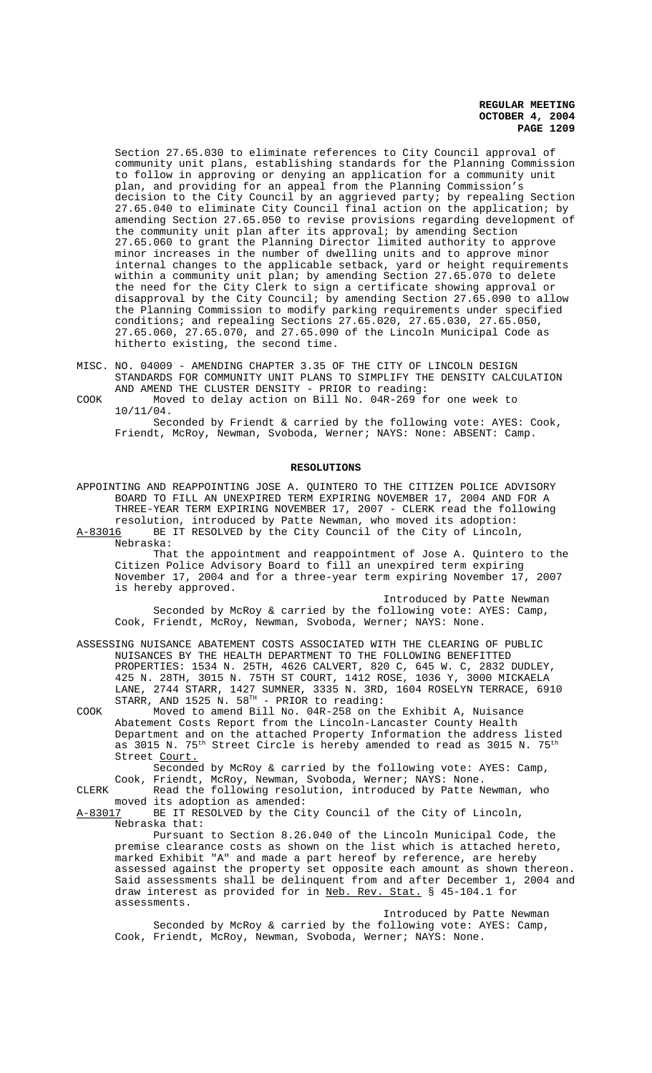Section 27.65.030 to eliminate references to City Council approval of community unit plans, establishing standards for the Planning Commission to follow in approving or denying an application for a community unit plan, and providing for an appeal from the Planning Commission's decision to the City Council by an aggrieved party; by repealing Section 27.65.040 to eliminate City Council final action on the application; by amending Section 27.65.050 to revise provisions regarding development of the community unit plan after its approval; by amending Section 27.65.060 to grant the Planning Director limited authority to approve minor increases in the number of dwelling units and to approve minor internal changes to the applicable setback, yard or height requirements within a community unit plan; by amending Section 27.65.070 to delete the need for the City Clerk to sign a certificate showing approval or disapproval by the City Council; by amending Section 27.65.090 to allow the Planning Commission to modify parking requirements under specified conditions; and repealing Sections 27.65.020, 27.65.030, 27.65.050, 27.65.060, 27.65.070, and 27.65.090 of the Lincoln Municipal Code as hitherto existing, the second time.

- MISC. NO. 04009 AMENDING CHAPTER 3.35 OF THE CITY OF LINCOLN DESIGN STANDARDS FOR COMMUNITY UNIT PLANS TO SIMPLIFY THE DENSITY CALCULATION AND AMEND THE CLUSTER DENSITY - PRIOR to reading:
- COOK Moved to delay action on Bill No. 04R-269 for one week to 10/11/04.

Seconded by Friendt & carried by the following vote: AYES: Cook, Friendt, McRoy, Newman, Svoboda, Werner; NAYS: None: ABSENT: Camp.

#### **RESOLUTIONS**

 APPOINTING AND REAPPOINTING JOSE A. QUINTERO TO THE CITIZEN POLICE ADVISORY BOARD TO FILL AN UNEXPIRED TERM EXPIRING NOVEMBER 17, 2004 AND FOR A THREE-YEAR TERM EXPIRING NOVEMBER 17, 2007 - CLERK read the following resolution, introduced by Patte Newman, who moved its adoption:

A-83016 BE IT RESOLVED by the City Council of the City of Lincoln, Nebraska:

That the appointment and reappointment of Jose A. Quintero to the Citizen Police Advisory Board to fill an unexpired term expiring November 17, 2004 and for a three-year term expiring November 17, 2007 is hereby approved.

Introduced by Patte Newman Seconded by McRoy & carried by the following vote: AYES: Camp, Cook, Friendt, McRoy, Newman, Svoboda, Werner; NAYS: None.

ASSESSING NUISANCE ABATEMENT COSTS ASSOCIATED WITH THE CLEARING OF PUBLIC NUISANCES BY THE HEALTH DEPARTMENT TO THE FOLLOWING BENEFITTED PROPERTIES: 1534 N. 25TH, 4626 CALVERT, 820 C, 645 W. C, 2832 DUDLEY, 425 N. 28TH, 3015 N. 75TH ST COURT, 1412 ROSE, 1036 Y, 3000 MICKAELA LANE, 2744 STARR, 1427 SUMNER, 3335 N. 3RD, 1604 ROSELYN TERRACE, 6910 STARR, AND 1525 N.  $58^{TH}$  - PRIOR to reading:

COOK Moved to amend Bill No. 04R-258 on the Exhibit A, Nuisance Abatement Costs Report from the Lincoln-Lancaster County Health Department and on the attached Property Information the address listed as 3015 N. 75th Street Circle is hereby amended to read as 3015 N.  $75^{\rm th}$ Street Court.

Seconded by McRoy & carried by the following vote: AYES: Camp, Cook, Friendt, McRoy, Newman, Svoboda, Werner; NAYS: None.

CLERK Read the following resolution, introduced by Patte Newman, who moved its adoption as amended:<br>A-83017 BE IT RESOLVED by the Ci

BE IT RESOLVED by the City Council of the City of Lincoln, Nebraska that:

Pursuant to Section 8.26.040 of the Lincoln Municipal Code, the premise clearance costs as shown on the list which is attached hereto, marked Exhibit "A" and made a part hereof by reference, are hereby assessed against the property set opposite each amount as shown thereon. Said assessments shall be delinquent from and after December 1, 2004 and draw interest as provided for in <u>Neb. Rev. Stat.</u> § 45-104.1 for assessments.

Introduced by Patte Newman Seconded by McRoy & carried by the following vote: AYES: Camp, Cook, Friendt, McRoy, Newman, Svoboda, Werner; NAYS: None.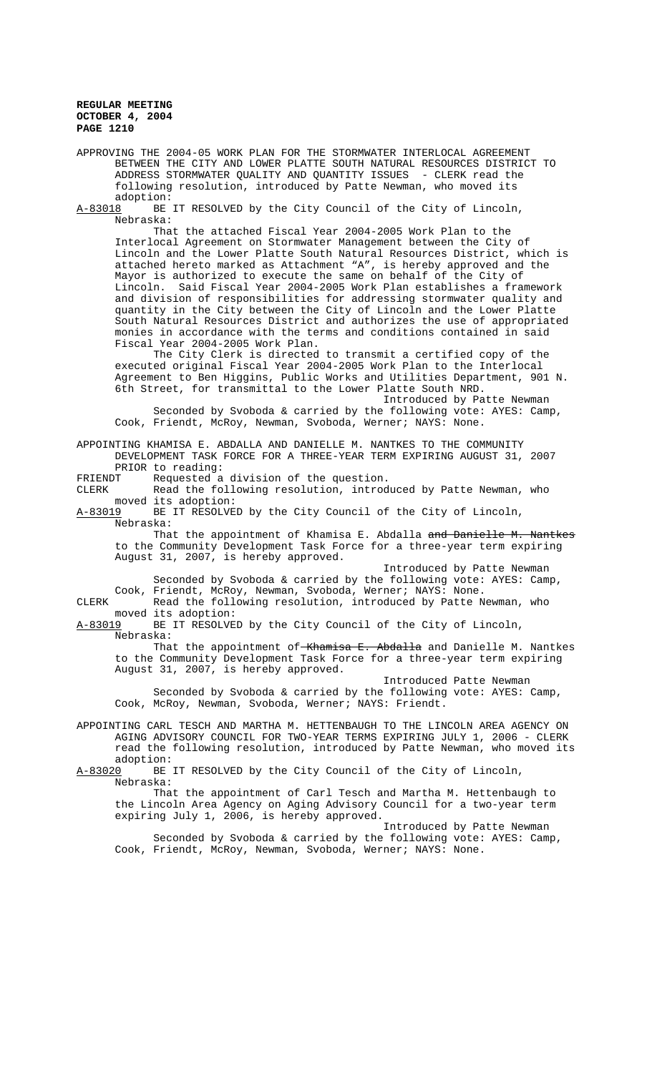APPROVING THE 2004-05 WORK PLAN FOR THE STORMWATER INTERLOCAL AGREEMENT BETWEEN THE CITY AND LOWER PLATTE SOUTH NATURAL RESOURCES DISTRICT TO ADDRESS STORMWATER QUALITY AND QUANTITY ISSUES - CLERK read the following resolution, introduced by Patte Newman, who moved its adoption:

A-83018 BE IT RESOLVED by the City Council of the City of Lincoln, Nebraska:

That the attached Fiscal Year 2004-2005 Work Plan to the Interlocal Agreement on Stormwater Management between the City of Lincoln and the Lower Platte South Natural Resources District, which is attached hereto marked as Attachment "A", is hereby approved and the Mayor is authorized to execute the same on behalf of the City of Lincoln. Said Fiscal Year 2004-2005 Work Plan establishes a framework and division of responsibilities for addressing stormwater quality and quantity in the City between the City of Lincoln and the Lower Platte South Natural Resources District and authorizes the use of appropriated monies in accordance with the terms and conditions contained in said Fiscal Year 2004-2005 Work Plan.

The City Clerk is directed to transmit a certified copy of the executed original Fiscal Year 2004-2005 Work Plan to the Interlocal Agreement to Ben Higgins, Public Works and Utilities Department, 901 N. 6th Street, for transmittal to the Lower Platte South NRD.

Introduced by Patte Newman Seconded by Svoboda & carried by the following vote: AYES: Camp, Cook, Friendt, McRoy, Newman, Svoboda, Werner; NAYS: None.

APPOINTING KHAMISA E. ABDALLA AND DANIELLE M. NANTKES TO THE COMMUNITY DEVELOPMENT TASK FORCE FOR A THREE-YEAR TERM EXPIRING AUGUST 31, 2007 PRIOR to reading:

FRIENDT Requested a division of the question.

CLERK Read the following resolution, introduced by Patte Newman, who moved its adoption:<br>A-83019 BE IT RESOLVE

BE IT RESOLVED by the City Council of the City of Lincoln, Nebraska:

That the appointment of Khamisa E. Abdalla and Danielle M. Nantkes to the Community Development Task Force for a three-year term expiring August 31, 2007, is hereby approved.

Introduced by Patte Newman Seconded by Svoboda & carried by the following vote: AYES: Camp, Cook, Friendt, McRoy, Newman, Svoboda, Werner; NAYS: None.

CLERK Read the following resolution, introduced by Patte Newman, who moved its adoption:

A-83019 BE IT RESOLVED by the City Council of the City of Lincoln, Nebraska:

That the appointment of Khamisa E. Abdalla and Danielle M. Nantkes to the Community Development Task Force for a three-year term expiring August 31, 2007, is hereby approved.

Introduced Patte Newman Seconded by Svoboda & carried by the following vote: AYES: Camp, Cook, McRoy, Newman, Svoboda, Werner; NAYS: Friendt.

APPOINTING CARL TESCH AND MARTHA M. HETTENBAUGH TO THE LINCOLN AREA AGENCY ON AGING ADVISORY COUNCIL FOR TWO-YEAR TERMS EXPIRING JULY 1, 2006 - CLERK read the following resolution, introduced by Patte Newman, who moved its

adoption:<br><u>A-83020</u> BE BE IT RESOLVED by the City Council of the City of Lincoln, Nebraska:

That the appointment of Carl Tesch and Martha M. Hettenbaugh to the Lincoln Area Agency on Aging Advisory Council for a two-year term expiring July 1, 2006, is hereby approved.

Introduced by Patte Newman Seconded by Svoboda & carried by the following vote: AYES: Camp, Cook, Friendt, McRoy, Newman, Svoboda, Werner; NAYS: None.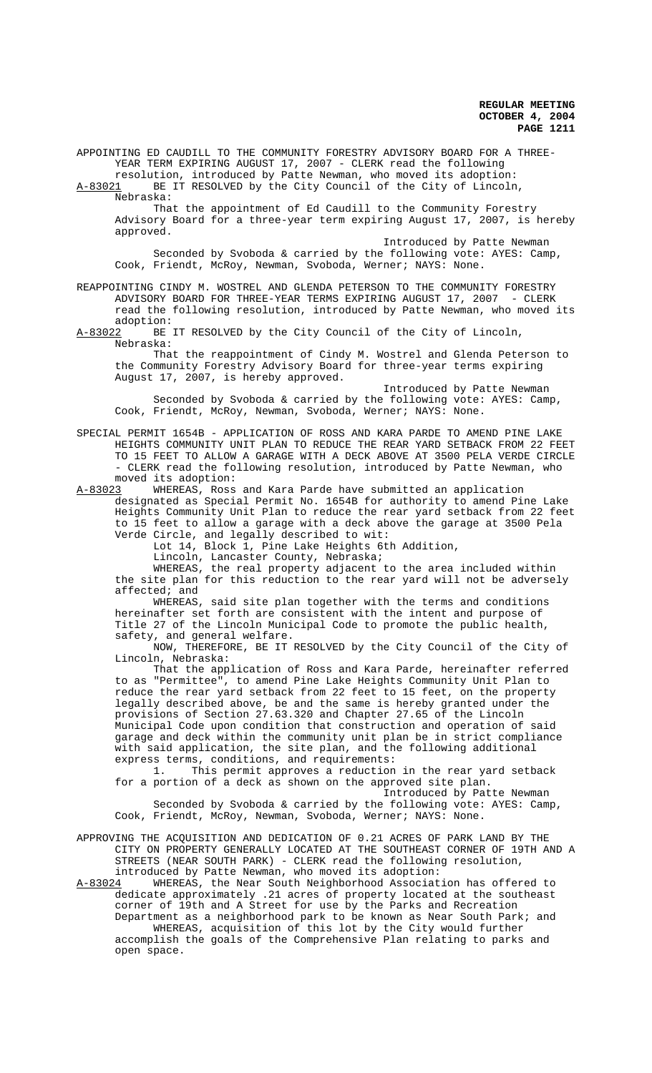APPOINTING ED CAUDILL TO THE COMMUNITY FORESTRY ADVISORY BOARD FOR A THREE-YEAR TERM EXPIRING AUGUST 17, 2007 - CLERK read the following

resolution, introduced by Patte Newman, who moved its adoption:<br>A-83021 BE IT RESOLVED by the City Council of the City of Lincoln BE IT RESOLVED by the City Council of the City of Lincoln, Nebraska:

That the appointment of Ed Caudill to the Community Forestry Advisory Board for a three-year term expiring August 17, 2007, is hereby approved.

Introduced by Patte Newman Seconded by Svoboda & carried by the following vote: AYES: Camp, Cook, Friendt, McRoy, Newman, Svoboda, Werner; NAYS: None.

REAPPOINTING CINDY M. WOSTREL AND GLENDA PETERSON TO THE COMMUNITY FORESTRY ADVISORY BOARD FOR THREE-YEAR TERMS EXPIRING AUGUST 17, 2007 - CLERK read the following resolution, introduced by Patte Newman, who moved its adoption:

A-83022 BE IT RESOLVED by the City Council of the City of Lincoln, Nebraska:

That the reappointment of Cindy M. Wostrel and Glenda Peterson to the Community Forestry Advisory Board for three-year terms expiring August 17, 2007, is hereby approved.

Introduced by Patte Newman Seconded by Svoboda & carried by the following vote: AYES: Camp, Cook, Friendt, McRoy, Newman, Svoboda, Werner; NAYS: None.

SPECIAL PERMIT 1654B - APPLICATION OF ROSS AND KARA PARDE TO AMEND PINE LAKE HEIGHTS COMMUNITY UNIT PLAN TO REDUCE THE REAR YARD SETBACK FROM 22 FEET TO 15 FEET TO ALLOW A GARAGE WITH A DECK ABOVE AT 3500 PELA VERDE CIRCLE - CLERK read the following resolution, introduced by Patte Newman, who moved its adoption:

A-83023 WHEREAS, Ross and Kara Parde have submitted an application designated as Special Permit No. 1654B for authority to amend Pine Lake Heights Community Unit Plan to reduce the rear yard setback from 22 feet to 15 feet to allow a garage with a deck above the garage at 3500 Pela Verde Circle, and legally described to wit:

Lot 14, Block 1, Pine Lake Heights 6th Addition,

Lincoln, Lancaster County, Nebraska;

WHEREAS, the real property adjacent to the area included within the site plan for this reduction to the rear yard will not be adversely affected; and

WHEREAS, said site plan together with the terms and conditions hereinafter set forth are consistent with the intent and purpose of Title 27 of the Lincoln Municipal Code to promote the public health, safety, and general welfare.

NOW, THEREFORE, BE IT RESOLVED by the City Council of the City of Lincoln, Nebraska:

That the application of Ross and Kara Parde, hereinafter referred to as "Permittee", to amend Pine Lake Heights Community Unit Plan to reduce the rear yard setback from 22 feet to 15 feet, on the property legally described above, be and the same is hereby granted under the provisions of Section 27.63.320 and Chapter 27.65 of the Lincoln Municipal Code upon condition that construction and operation of said garage and deck within the community unit plan be in strict compliance with said application, the site plan, and the following additional express terms, conditions, and requirements:

1. This permit approves a reduction in the rear yard setback for a portion of a deck as shown on the approved site plan.

Introduced by Patte Newman Seconded by Svoboda & carried by the following vote: AYES: Camp, Cook, Friendt, McRoy, Newman, Svoboda, Werner; NAYS: None.

APPROVING THE ACQUISITION AND DEDICATION OF 0.21 ACRES OF PARK LAND BY THE CITY ON PROPERTY GENERALLY LOCATED AT THE SOUTHEAST CORNER OF 19TH AND A STREETS (NEAR SOUTH PARK) - CLERK read the following resolution, introduced by Patte Newman, who moved its adoption:<br>A-83024 WHEREAS, the Near South Neighborhood Associat

WHEREAS, the Near South Neighborhood Association has offered to dedicate approximately .21 acres of property located at the southeast corner of 19th and A Street for use by the Parks and Recreation Department as a neighborhood park to be known as Near South Park; and WHEREAS, acquisition of this lot by the City would further accomplish the goals of the Comprehensive Plan relating to parks and open space.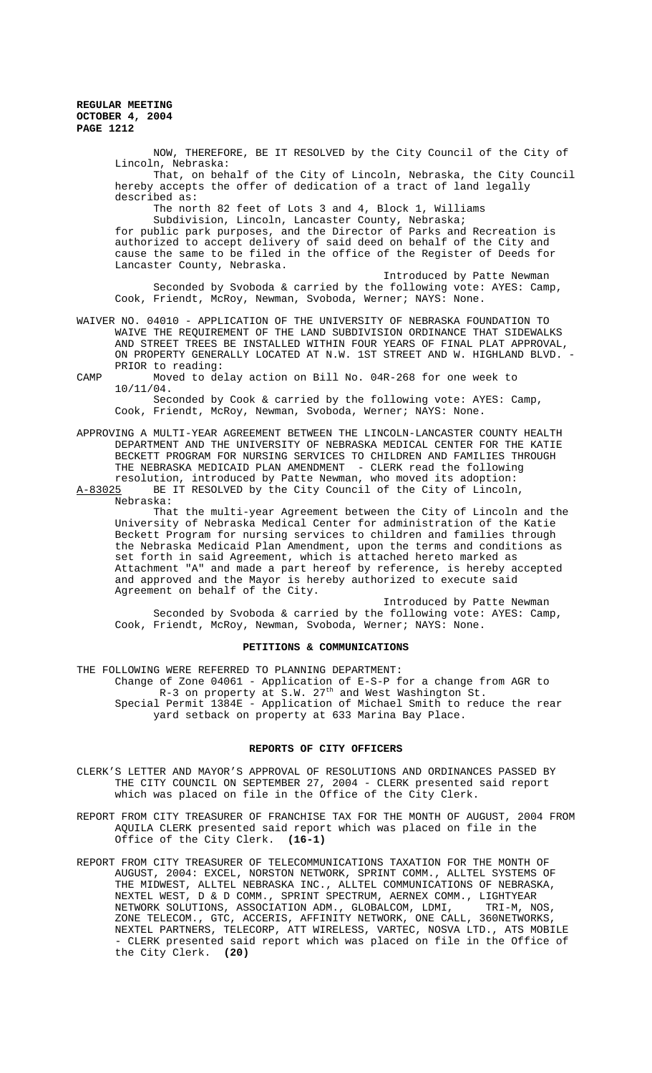NOW, THEREFORE, BE IT RESOLVED by the City Council of the City of Lincoln, Nebraska: That, on behalf of the City of Lincoln, Nebraska, the City Council

hereby accepts the offer of dedication of a tract of land legally described as:

The north 82 feet of Lots 3 and 4, Block 1, Williams

Subdivision, Lincoln, Lancaster County, Nebraska; for public park purposes, and the Director of Parks and Recreation is authorized to accept delivery of said deed on behalf of the City and cause the same to be filed in the office of the Register of Deeds for Lancaster County, Nebraska.

Introduced by Patte Newman Seconded by Svoboda & carried by the following vote: AYES: Camp, Cook, Friendt, McRoy, Newman, Svoboda, Werner; NAYS: None.

WAIVER NO. 04010 - APPLICATION OF THE UNIVERSITY OF NEBRASKA FOUNDATION TO WAIVE THE REQUIREMENT OF THE LAND SUBDIVISION ORDINANCE THAT SIDEWALKS AND STREET TREES BE INSTALLED WITHIN FOUR YEARS OF FINAL PLAT APPROVAL, ON PROPERTY GENERALLY LOCATED AT N.W. 1ST STREET AND W. HIGHLAND BLVD. - PRIOR to reading:

CAMP Moved to delay action on Bill No. 04R-268 for one week to 10/11/04. Seconded by Cook & carried by the following vote: AYES: Camp,

Cook, Friendt, McRoy, Newman, Svoboda, Werner; NAYS: None.

APPROVING A MULTI-YEAR AGREEMENT BETWEEN THE LINCOLN-LANCASTER COUNTY HEALTH DEPARTMENT AND THE UNIVERSITY OF NEBRASKA MEDICAL CENTER FOR THE KATIE BECKETT PROGRAM FOR NURSING SERVICES TO CHILDREN AND FAMILIES THROUGH THE NEBRASKA MEDICAID PLAN AMENDMENT - CLERK read the following resolution, introduced by Patte Newman, who moved its adoption:

A-83025 BE IT RESOLVED by the City Council of the City of Lincoln, Nebraska:

That the multi-year Agreement between the City of Lincoln and the University of Nebraska Medical Center for administration of the Katie Beckett Program for nursing services to children and families through the Nebraska Medicaid Plan Amendment, upon the terms and conditions as set forth in said Agreement, which is attached hereto marked as Attachment "A" and made a part hereof by reference, is hereby accepted and approved and the Mayor is hereby authorized to execute said Agreement on behalf of the City.

Introduced by Patte Newman Seconded by Svoboda & carried by the following vote: AYES: Camp, Cook, Friendt, McRoy, Newman, Svoboda, Werner; NAYS: None.

### **PETITIONS & COMMUNICATIONS**

THE FOLLOWING WERE REFERRED TO PLANNING DEPARTMENT:

Change of Zone 04061 - Application of E-S-P for a change from AGR to R-3 on property at S.W.  $27<sup>th</sup>$  and West Washington St. Special Permit 1384E - Application of Michael Smith to reduce the rear yard setback on property at 633 Marina Bay Place.

#### **REPORTS OF CITY OFFICERS**

- CLERK'S LETTER AND MAYOR'S APPROVAL OF RESOLUTIONS AND ORDINANCES PASSED BY THE CITY COUNCIL ON SEPTEMBER 27, 2004 - CLERK presented said report which was placed on file in the Office of the City Clerk.
- REPORT FROM CITY TREASURER OF FRANCHISE TAX FOR THE MONTH OF AUGUST, 2004 FROM AQUILA CLERK presented said report which was placed on file in the Office of the City Clerk. **(16-1)**
- REPORT FROM CITY TREASURER OF TELECOMMUNICATIONS TAXATION FOR THE MONTH OF AUGUST, 2004: EXCEL, NORSTON NETWORK, SPRINT COMM., ALLTEL SYSTEMS OF THE MIDWEST, ALLTEL NEBRASKA INC., ALLTEL COMMUNICATIONS OF NEBRASKA, NEXTEL WEST, D & D COMM., SPRINT SPECTRUM, AERNEX COMM., LIGHTYEAR NETWORK SOLUTIONS, ASSOCIATION ADM., GLOBALCOM, LDMI, TRI-M, NOS, ZONE TELECOM., GTC, ACCERIS, AFFINITY NETWORK, ONE CALL, 360NETWORKS, NEXTEL PARTNERS, TELECORP, ATT WIRELESS, VARTEC, NOSVA LTD., ATS MOBILE - CLERK presented said report which was placed on file in the Office of the City Clerk. **(20)**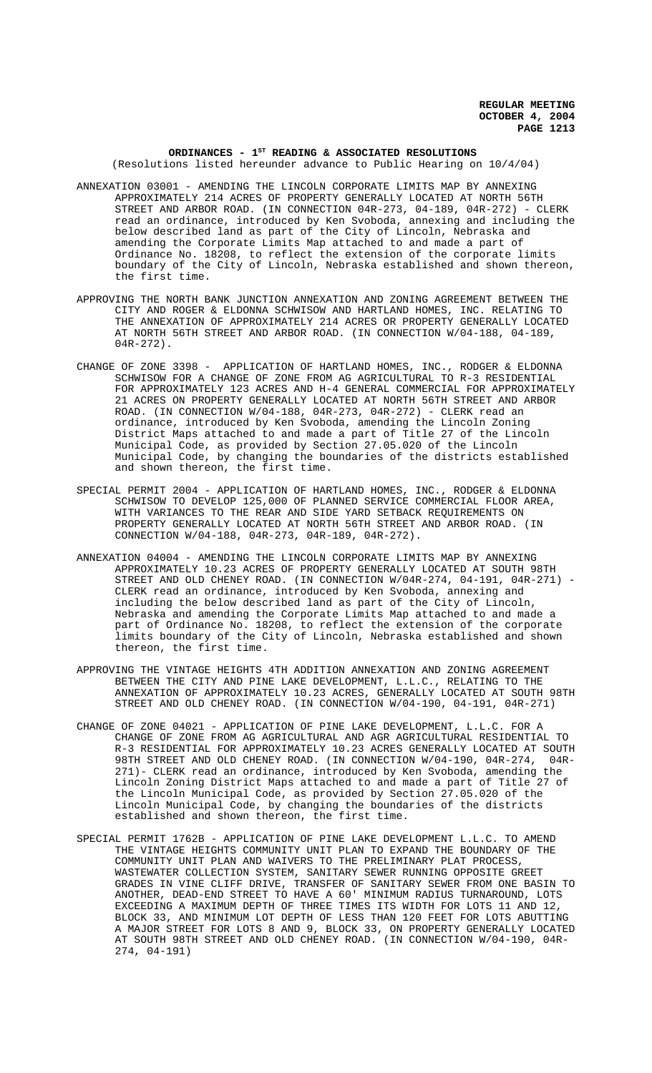#### ORDINANCES - 1<sup>st</sup> READING & ASSOCIATED RESOLUTIONS (Resolutions listed hereunder advance to Public Hearing on 10/4/04)

- ANNEXATION 03001 AMENDING THE LINCOLN CORPORATE LIMITS MAP BY ANNEXING APPROXIMATELY 214 ACRES OF PROPERTY GENERALLY LOCATED AT NORTH 56TH STREET AND ARBOR ROAD. (IN CONNECTION 04R-273, 04-189, 04R-272) - CLERK read an ordinance, introduced by Ken Svoboda, annexing and including the below described land as part of the City of Lincoln, Nebraska and amending the Corporate Limits Map attached to and made a part of Ordinance No. 18208, to reflect the extension of the corporate limits boundary of the City of Lincoln, Nebraska established and shown thereon, the first time.
- APPROVING THE NORTH BANK JUNCTION ANNEXATION AND ZONING AGREEMENT BETWEEN THE CITY AND ROGER & ELDONNA SCHWISOW AND HARTLAND HOMES, INC. RELATING TO THE ANNEXATION OF APPROXIMATELY 214 ACRES OR PROPERTY GENERALLY LOCATED AT NORTH 56TH STREET AND ARBOR ROAD. (IN CONNECTION W/04-188, 04-189, 04R-272).
- CHANGE OF ZONE 3398 APPLICATION OF HARTLAND HOMES, INC., RODGER & ELDONNA SCHWISOW FOR A CHANGE OF ZONE FROM AG AGRICULTURAL TO R-3 RESIDENTIAL FOR APPROXIMATELY 123 ACRES AND H-4 GENERAL COMMERCIAL FOR APPROXIMATELY 21 ACRES ON PROPERTY GENERALLY LOCATED AT NORTH 56TH STREET AND ARBOR ROAD. (IN CONNECTION  $W/04-188$ , 04R-273, 04R-272) - CLERK read an ordinance, introduced by Ken Svoboda, amending the Lincoln Zoning District Maps attached to and made a part of Title 27 of the Lincoln Municipal Code, as provided by Section 27.05.020 of the Lincoln Municipal Code, by changing the boundaries of the districts established and shown thereon, the first time.
- SPECIAL PERMIT 2004 APPLICATION OF HARTLAND HOMES, INC., RODGER & ELDONNA SCHWISOW TO DEVELOP 125,000 OF PLANNED SERVICE COMMERCIAL FLOOR AREA, WITH VARIANCES TO THE REAR AND SIDE YARD SETBACK REQUIREMENTS ON PROPERTY GENERALLY LOCATED AT NORTH 56TH STREET AND ARBOR ROAD. (IN CONNECTION W/04-188, 04R-273, 04R-189, 04R-272).
- ANNEXATION 04004 AMENDING THE LINCOLN CORPORATE LIMITS MAP BY ANNEXING APPROXIMATELY 10.23 ACRES OF PROPERTY GENERALLY LOCATED AT SOUTH 98TH STREET AND OLD CHENEY ROAD. (IN CONNECTION  $W/04R-274$ , 04-191, 04R-271) -CLERK read an ordinance, introduced by Ken Svoboda, annexing and including the below described land as part of the City of Lincoln, Nebraska and amending the Corporate Limits Map attached to and made a part of Ordinance No. 18208, to reflect the extension of the corporate limits boundary of the City of Lincoln, Nebraska established and shown thereon, the first time.
- APPROVING THE VINTAGE HEIGHTS 4TH ADDITION ANNEXATION AND ZONING AGREEMENT BETWEEN THE CITY AND PINE LAKE DEVELOPMENT, L.L.C., RELATING TO THE ANNEXATION OF APPROXIMATELY 10.23 ACRES, GENERALLY LOCATED AT SOUTH 98TH STREET AND OLD CHENEY ROAD. (IN CONNECTION W/04-190, 04-191, 04R-271)
- CHANGE OF ZONE 04021 APPLICATION OF PINE LAKE DEVELOPMENT, L.L.C. FOR A CHANGE OF ZONE FROM AG AGRICULTURAL AND AGR AGRICULTURAL RESIDENTIAL TO R-3 RESIDENTIAL FOR APPROXIMATELY 10.23 ACRES GENERALLY LOCATED AT SOUTH 98TH STREET AND OLD CHENEY ROAD. (IN CONNECTION W/04-190, 04R-274, 04R-271)- CLERK read an ordinance, introduced by Ken Svoboda, amending the Lincoln Zoning District Maps attached to and made a part of Title 27 of the Lincoln Municipal Code, as provided by Section 27.05.020 of the Lincoln Municipal Code, by changing the boundaries of the districts established and shown thereon, the first time.
- SPECIAL PERMIT 1762B APPLICATION OF PINE LAKE DEVELOPMENT L.L.C. TO AMEND THE VINTAGE HEIGHTS COMMUNITY UNIT PLAN TO EXPAND THE BOUNDARY OF THE COMMUNITY UNIT PLAN AND WAIVERS TO THE PRELIMINARY PLAT PROCESS, WASTEWATER COLLECTION SYSTEM, SANITARY SEWER RUNNING OPPOSITE GREET GRADES IN VINE CLIFF DRIVE, TRANSFER OF SANITARY SEWER FROM ONE BASIN TO ANOTHER, DEAD-END STREET TO HAVE A 60' MINIMUM RADIUS TURNAROUND, LOTS EXCEEDING A MAXIMUM DEPTH OF THREE TIMES ITS WIDTH FOR LOTS 11 AND 12, BLOCK 33, AND MINIMUM LOT DEPTH OF LESS THAN 120 FEET FOR LOTS ABUTTING A MAJOR STREET FOR LOTS 8 AND 9, BLOCK 33, ON PROPERTY GENERALLY LOCATED AT SOUTH 98TH STREET AND OLD CHENEY ROAD. (IN CONNECTION W/04-190, 04R-274, 04-191)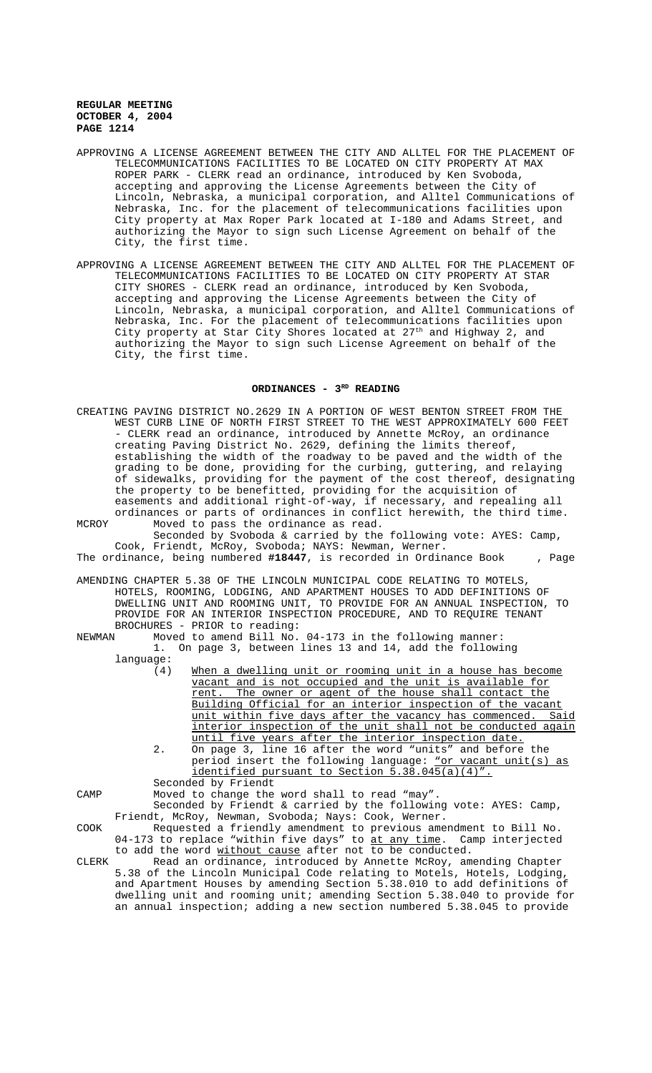- APPROVING A LICENSE AGREEMENT BETWEEN THE CITY AND ALLTEL FOR THE PLACEMENT OF TELECOMMUNICATIONS FACILITIES TO BE LOCATED ON CITY PROPERTY AT MAX ROPER PARK - CLERK read an ordinance, introduced by Ken Svoboda, accepting and approving the License Agreements between the City of Lincoln, Nebraska, a municipal corporation, and Alltel Communications of Nebraska, Inc. for the placement of telecommunications facilities upon City property at Max Roper Park located at I-180 and Adams Street, and authorizing the Mayor to sign such License Agreement on behalf of the City, the first time.
- APPROVING A LICENSE AGREEMENT BETWEEN THE CITY AND ALLTEL FOR THE PLACEMENT OF TELECOMMUNICATIONS FACILITIES TO BE LOCATED ON CITY PROPERTY AT STAR CITY SHORES - CLERK read an ordinance, introduced by Ken Svoboda, accepting and approving the License Agreements between the City of Lincoln, Nebraska, a municipal corporation, and Alltel Communications of Nebraska, Inc. For the placement of telecommunications facilities upon City property at Star City Shores located at 27<sup>th</sup> and Highway 2, and authorizing the Mayor to sign such License Agreement on behalf of the City, the first time.

#### ORDINANCES - 3<sup>RD</sup> READING

CREATING PAVING DISTRICT NO.2629 IN A PORTION OF WEST BENTON STREET FROM THE WEST CURB LINE OF NORTH FIRST STREET TO THE WEST APPROXIMATELY 600 FEET - CLERK read an ordinance, introduced by Annette McRoy, an ordinance creating Paving District No. 2629, defining the limits thereof, establishing the width of the roadway to be paved and the width of the grading to be done, providing for the curbing, guttering, and relaying of sidewalks, providing for the payment of the cost thereof, designating the property to be benefitted, providing for the acquisition of easements and additional right-of-way, if necessary, and repealing all ordinances or parts of ordinances in conflict herewith, the third time. MCROY Moved to pass the ordinance as read. Seconded by Svoboda & carried by the following vote: AYES: Camp,

Cook, Friendt, McRoy, Svoboda; NAYS: Newman, Werner. The ordinance, being numbered **#18447**, is recorded in Ordinance Book , Page

- AMENDING CHAPTER 5.38 OF THE LINCOLN MUNICIPAL CODE RELATING TO MOTELS, HOTELS, ROOMING, LODGING, AND APARTMENT HOUSES TO ADD DEFINITIONS OF DWELLING UNIT AND ROOMING UNIT, TO PROVIDE FOR AN ANNUAL INSPECTION, TO PROVIDE FOR AN INTERIOR INSPECTION PROCEDURE, AND TO REQUIRE TENANT BROCHURES - PRIOR to reading:<br>NEWMAN Moved to amend Bill No.
- Moved to amend Bill No. 04-173 in the following manner: 1. On page 3, between lines 13 and 14, add the following language:
	- (4) When a dwelling unit or rooming unit in a house has become vacant and is not occupied and the unit is available for rent. The owner or agent of the house shall contact the Building Official for an interior inspection of the vacant unit within five days after the vacancy has commenced. Said interior inspection of the unit shall not be conducted again until five years after the interior inspection date.
	- 2. On page 3, line 16 after the word "units" and before the period insert the following language: "or vacant unit(s) as identified pursuant to Section 5.38.045(a)(4)". Seconded by Friendt

CAMP Moved to change the word shall to read "may".

Seconded by Friendt & carried by the following vote: AYES: Camp, Friendt, McRoy, Newman, Svoboda; Nays: Cook, Werner.

- COOK Requested a friendly amendment to previous amendment to Bill No. 04-173 to replace "within five days" to at any time. Camp interjected to add the word without cause after not to be conducted.
- CLERK Read an ordinance, introduced by Annette McRoy, amending Chapter 5.38 of the Lincoln Municipal Code relating to Motels, Hotels, Lodging, and Apartment Houses by amending Section 5.38.010 to add definitions of dwelling unit and rooming unit; amending Section 5.38.040 to provide for an annual inspection; adding a new section numbered 5.38.045 to provide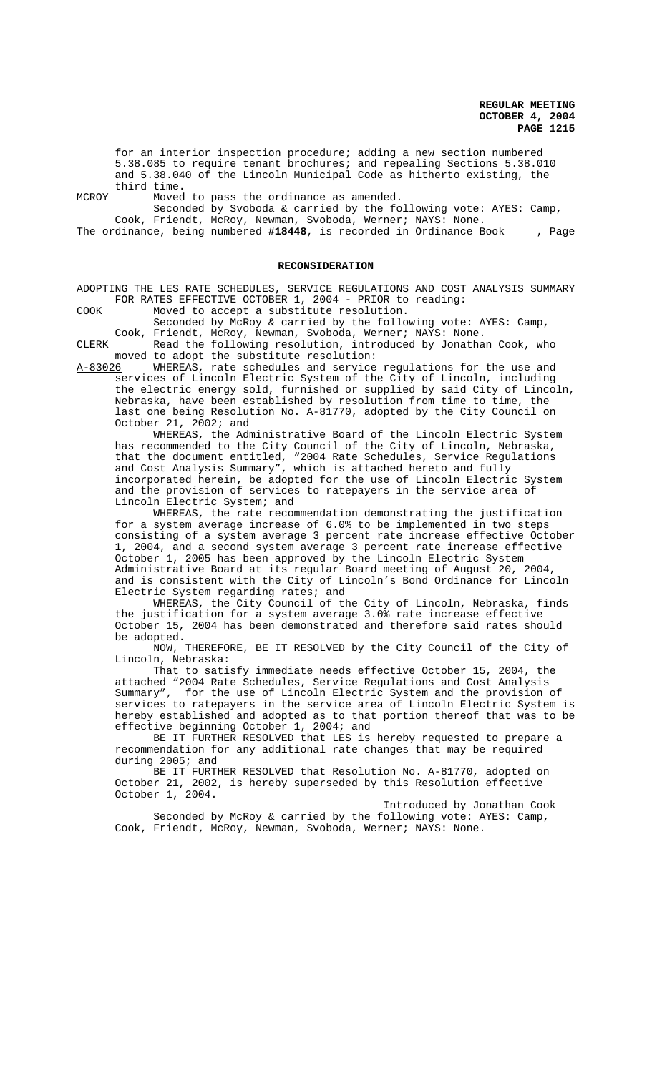for an interior inspection procedure; adding a new section numbered 5.38.085 to require tenant brochures; and repealing Sections 5.38.010 and 5.38.040 of the Lincoln Municipal Code as hitherto existing, the third time.

MCROY Moved to pass the ordinance as amended.

Seconded by Svoboda & carried by the following vote: AYES: Camp, Cook, Friendt, McRoy, Newman, Svoboda, Werner; NAYS: None.

The ordinance, being numbered **#18448**, is recorded in Ordinance Book , Page

#### **RECONSIDERATION**

ADOPTING THE LES RATE SCHEDULES, SERVICE REGULATIONS AND COST ANALYSIS SUMMARY FOR RATES EFFECTIVE OCTOBER 1, 2004 - PRIOR to reading:

COOK Moved to accept a substitute resolution.

Seconded by McRoy & carried by the following vote: AYES: Camp, Cook, Friendt, McRoy, Newman, Svoboda, Werner; NAYS: None.

CLERK Read the following resolution, introduced by Jonathan Cook, who moved to adopt the substitute resolution:<br>A-83026 WHEREAS, rate schedules and service

WHEREAS, rate schedules and service regulations for the use and services of Lincoln Electric System of the City of Lincoln, including the electric energy sold, furnished or supplied by said City of Lincoln, Nebraska, have been established by resolution from time to time, the last one being Resolution No. A-81770, adopted by the City Council on October 21, 2002; and

WHEREAS, the Administrative Board of the Lincoln Electric System has recommended to the City Council of the City of Lincoln, Nebraska, that the document entitled, "2004 Rate Schedules, Service Regulations and Cost Analysis Summary", which is attached hereto and fully incorporated herein, be adopted for the use of Lincoln Electric System and the provision of services to ratepayers in the service area of Lincoln Electric System; and

WHEREAS, the rate recommendation demonstrating the justification for a system average increase of 6.0% to be implemented in two steps consisting of a system average 3 percent rate increase effective October 1, 2004, and a second system average 3 percent rate increase effective October 1, 2005 has been approved by the Lincoln Electric System Administrative Board at its regular Board meeting of August 20, 2004, and is consistent with the City of Lincoln's Bond Ordinance for Lincoln Electric System regarding rates; and

WHEREAS, the City Council of the City of Lincoln, Nebraska, finds the justification for a system average 3.0% rate increase effective October 15, 2004 has been demonstrated and therefore said rates should be adopted.

NOW, THEREFORE, BE IT RESOLVED by the City Council of the City of Lincoln, Nebraska:

That to satisfy immediate needs effective October 15, 2004, the attached "2004 Rate Schedules, Service Regulations and Cost Analysis Summary", for the use of Lincoln Electric System and the provision of services to ratepayers in the service area of Lincoln Electric System is hereby established and adopted as to that portion thereof that was to be effective beginning October 1, 2004; and

BE IT FURTHER RESOLVED that LES is hereby requested to prepare a recommendation for any additional rate changes that may be required during 2005; and

BE IT FURTHER RESOLVED that Resolution No. A-81770, adopted on October 21, 2002, is hereby superseded by this Resolution effective October 1, 2004.

Introduced by Jonathan Cook Seconded by McRoy & carried by the following vote: AYES: Camp, Cook, Friendt, McRoy, Newman, Svoboda, Werner; NAYS: None.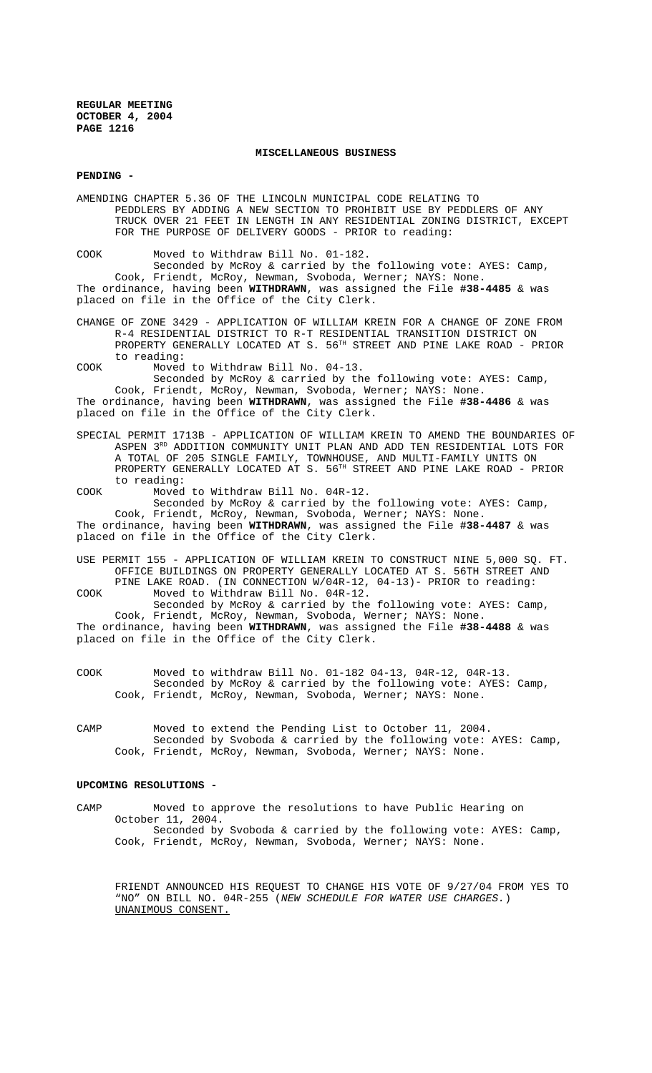#### **MISCELLANEOUS BUSINESS**

## **PENDING -**

AMENDING CHAPTER 5.36 OF THE LINCOLN MUNICIPAL CODE RELATING TO PEDDLERS BY ADDING A NEW SECTION TO PROHIBIT USE BY PEDDLERS OF ANY TRUCK OVER 21 FEET IN LENGTH IN ANY RESIDENTIAL ZONING DISTRICT, EXCEPT FOR THE PURPOSE OF DELIVERY GOODS - PRIOR to reading:

COOK Moved to Withdraw Bill No. 01-182.

Seconded by McRoy & carried by the following vote: AYES: Camp, Cook, Friendt, McRoy, Newman, Svoboda, Werner; NAYS: None. The ordinance, having been **WITHDRAWN**, was assigned the File **#38-4485** & was placed on file in the Office of the City Clerk.

CHANGE OF ZONE 3429 - APPLICATION OF WILLIAM KREIN FOR A CHANGE OF ZONE FROM R-4 RESIDENTIAL DISTRICT TO R-T RESIDENTIAL TRANSITION DISTRICT ON PROPERTY GENERALLY LOCATED AT S. 56TH STREET AND PINE LAKE ROAD - PRIOR to reading:

COOK Moved to Withdraw Bill No. 04-13.

Seconded by McRoy & carried by the following vote: AYES: Camp, Cook, Friendt, McRoy, Newman, Svoboda, Werner; NAYS: None. The ordinance, having been **WITHDRAWN**, was assigned the File **#38-4486** & was placed on file in the Office of the City Clerk.

SPECIAL PERMIT 1713B - APPLICATION OF WILLIAM KREIN TO AMEND THE BOUNDARIES OF ASPEN 3<sup>RD</sup> ADDITION COMMUNITY UNIT PLAN AND ADD TEN RESIDENTIAL LOTS FOR A TOTAL OF 205 SINGLE FAMILY, TOWNHOUSE, AND MULTI-FAMILY UNITS ON PROPERTY GENERALLY LOCATED AT S. 56TH STREET AND PINE LAKE ROAD - PRIOR to reading:

COOK Moved to Withdraw Bill No. 04R-12. Seconded by McRoy & carried by the following vote: AYES: Camp,

Cook, Friendt, McRoy, Newman, Svoboda, Werner; NAYS: None. The ordinance, having been **WITHDRAWN**, was assigned the File **#38-4487** & was placed on file in the Office of the City Clerk.

USE PERMIT 155 - APPLICATION OF WILLIAM KREIN TO CONSTRUCT NINE 5,000 SQ. FT. OFFICE BUILDINGS ON PROPERTY GENERALLY LOCATED AT S. 56TH STREET AND PINE LAKE ROAD. (IN CONNECTION W/04R-12, 04-13)- PRIOR to reading:

COOK Moved to Withdraw Bill No. 04R-12. Seconded by McRoy & carried by the following vote: AYES: Camp, Cook, Friendt, McRoy, Newman, Svoboda, Werner; NAYS: None. The ordinance, having been **WITHDRAWN**, was assigned the File **#38-4488** & was placed on file in the Office of the City Clerk.

- COOK Moved to withdraw Bill No. 01-182 04-13, 04R-12, 04R-13. Seconded by McRoy & carried by the following vote: AYES: Camp, Cook, Friendt, McRoy, Newman, Svoboda, Werner; NAYS: None.
- CAMP Moved to extend the Pending List to October 11, 2004. Seconded by Svoboda & carried by the following vote: AYES: Camp, Cook, Friendt, McRoy, Newman, Svoboda, Werner; NAYS: None.

# **UPCOMING RESOLUTIONS -**

CAMP Moved to approve the resolutions to have Public Hearing on October 11, 2004. Seconded by Svoboda & carried by the following vote: AYES: Camp, Cook, Friendt, McRoy, Newman, Svoboda, Werner; NAYS: None.

FRIENDT ANNOUNCED HIS REQUEST TO CHANGE HIS VOTE OF 9/27/04 FROM YES TO "NO" ON BILL NO. 04R-255 (NEW SCHEDULE FOR WATER USE CHARGES.) UNANIMOUS CONSENT.